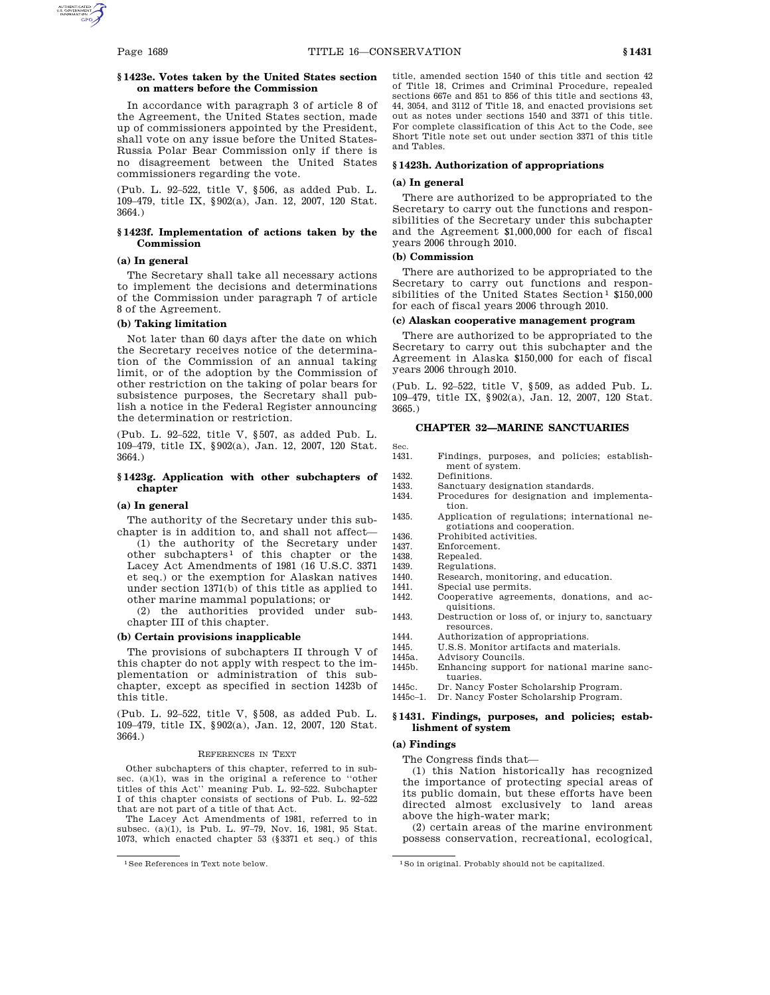# **§ 1423e. Votes taken by the United States section on matters before the Commission**

In accordance with paragraph 3 of article 8 of the Agreement, the United States section, made up of commissioners appointed by the President, shall vote on any issue before the United States-Russia Polar Bear Commission only if there is no disagreement between the United States commissioners regarding the vote.

(Pub. L. 92–522, title V, §506, as added Pub. L. 109–479, title IX, §902(a), Jan. 12, 2007, 120 Stat. 3664.)

### **§ 1423f. Implementation of actions taken by the Commission**

### **(a) In general**

The Secretary shall take all necessary actions to implement the decisions and determinations of the Commission under paragraph 7 of article 8 of the Agreement.

### **(b) Taking limitation**

Not later than 60 days after the date on which the Secretary receives notice of the determination of the Commission of an annual taking limit, or of the adoption by the Commission of other restriction on the taking of polar bears for subsistence purposes, the Secretary shall publish a notice in the Federal Register announcing the determination or restriction.

(Pub. L. 92–522, title V, §507, as added Pub. L. 109–479, title IX, §902(a), Jan. 12, 2007, 120 Stat. 3664.)

# **§ 1423g. Application with other subchapters of chapter**

#### **(a) In general**

The authority of the Secretary under this subchapter is in addition to, and shall not affect—

(1) the authority of the Secretary under other subchapters<sup>1</sup> of this chapter or the Lacey Act Amendments of 1981 (16 U.S.C. 3371 et seq.) or the exemption for Alaskan natives under section 1371(b) of this title as applied to other marine mammal populations; or

(2) the authorities provided under subchapter III of this chapter.

### **(b) Certain provisions inapplicable**

The provisions of subchapters II through V of this chapter do not apply with respect to the implementation or administration of this subchapter, except as specified in section 1423b of this title.

(Pub. L. 92–522, title V, §508, as added Pub. L. 109–479, title IX, §902(a), Jan. 12, 2007, 120 Stat. 3664.)

### REFERENCES IN TEXT

Other subchapters of this chapter, referred to in subsec. (a)(1), was in the original a reference to ''other titles of this Act'' meaning Pub. L. 92–522. Subchapter I of this chapter consists of sections of Pub. L. 92–522 that are not part of a title of that Act.

The Lacey Act Amendments of 1981, referred to in subsec. (a)(1), is Pub. L. 97–79, Nov. 16, 1981, 95 Stat. 1073, which enacted chapter 53 (§3371 et seq.) of this title, amended section 1540 of this title and section 42 of Title 18, Crimes and Criminal Procedure, repealed sections 667e and 851 to 856 of this title and sections 43, 44, 3054, and 3112 of Title 18, and enacted provisions set out as notes under sections 1540 and 3371 of this title. For complete classification of this Act to the Code, see Short Title note set out under section 3371 of this title and Tables.

# **§ 1423h. Authorization of appropriations**

### **(a) In general**

There are authorized to be appropriated to the Secretary to carry out the functions and responsibilities of the Secretary under this subchapter and the Agreement \$1,000,000 for each of fiscal years 2006 through 2010.

### **(b) Commission**

There are authorized to be appropriated to the Secretary to carry out functions and responsibilities of the United States Section<sup>1</sup>  $$150,000$ for each of fiscal years 2006 through 2010.

### **(c) Alaskan cooperative management program**

There are authorized to be appropriated to the Secretary to carry out this subchapter and the Agreement in Alaska \$150,000 for each of fiscal years 2006 through 2010.

(Pub. L. 92–522, title V, §509, as added Pub. L. 109–479, title IX, §902(a), Jan. 12, 2007, 120 Stat. 3665.)

# **CHAPTER 32—MARINE SANCTUARIES**

- Sec.<br>1431.
	- Findings, purposes, and policies; establishment of system.
- 1432. Definitions.
- 1433. Sanctuary designation standards.<br>1434. Procedures for designation and i
	- Procedures for designation and implementation.
- 1435. Application of regulations; international negotiations and cooperation.
- 1436. Prohibited activities.<br>1437. Enforcement.
- 1437. Enforcement.<br>1438. Repealed. Repealed.
- 
- 1439. Regulations.<br>1440. Research, mo 1440. Research, monitoring, and education.<br>1441. Special use permits.
	- Special use permits.
- 1442. Cooperative agreements, donations, and acquisitions.
- 1443. Destruction or loss of, or injury to, sanctuary
- resources.
- 1444. Authorization of appropriations.<br>1445. U.S.S. Monitor artifacts and mat U.S.S. Monitor artifacts and materials.
- 
- 1445a. Advisory Councils.<br>1445b. Enhancing support Enhancing support for national marine sanctuaries.
- 1445c. Dr. Nancy Foster Scholarship Program.<br>1445c–1. Dr. Nancy Foster Scholarship Program.
- Dr. Nancy Foster Scholarship Program.

### **§ 1431. Findings, purposes, and policies; establishment of system**

# **(a) Findings**

The Congress finds that—

(1) this Nation historically has recognized the importance of protecting special areas of its public domain, but these efforts have been directed almost exclusively to land areas above the high-water mark;

(2) certain areas of the marine environment possess conservation, recreational, ecological,

<sup>&</sup>lt;sup>1</sup>See References in Text note below. <sup>1</sup>So in original. Probably should not be capitalized.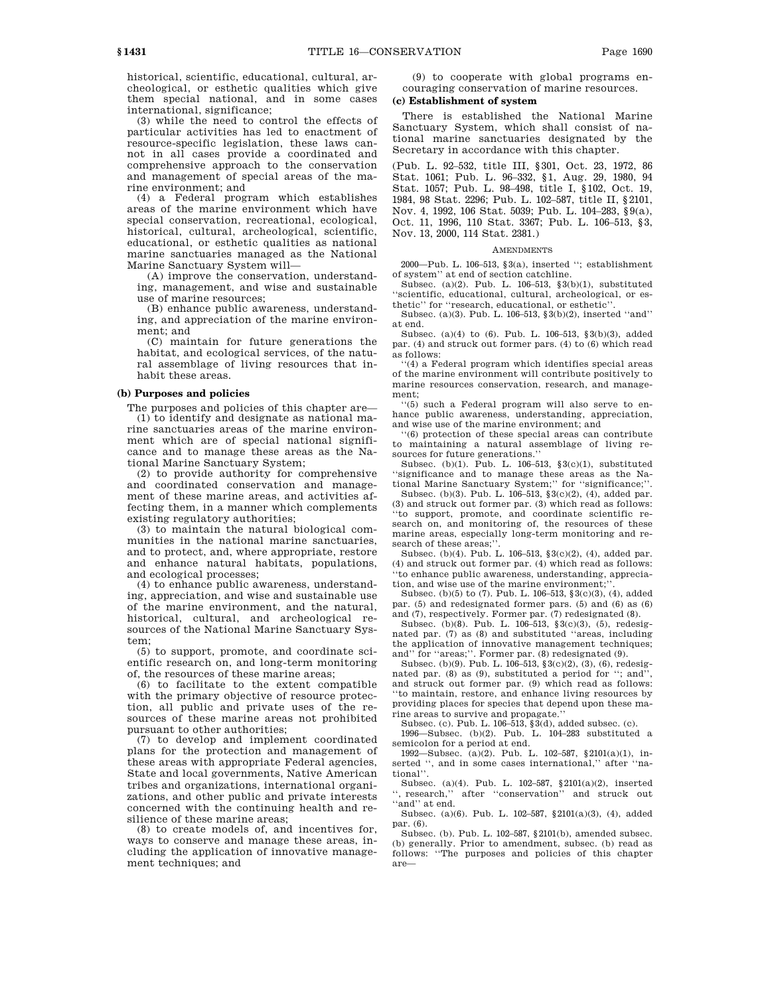historical, scientific, educational, cultural, archeological, or esthetic qualities which give them special national, and in some cases international, significance;

(3) while the need to control the effects of particular activities has led to enactment of resource-specific legislation, these laws cannot in all cases provide a coordinated and comprehensive approach to the conservation and management of special areas of the marine environment; and

(4) a Federal program which establishes areas of the marine environment which have special conservation, recreational, ecological, historical, cultural, archeological, scientific, educational, or esthetic qualities as national marine sanctuaries managed as the National Marine Sanctuary System will—

(A) improve the conservation, understanding, management, and wise and sustainable use of marine resources;

(B) enhance public awareness, understanding, and appreciation of the marine environment; and

(C) maintain for future generations the habitat, and ecological services, of the natural assemblage of living resources that inhabit these areas.

### **(b) Purposes and policies**

The purposes and policies of this chapter are— (1) to identify and designate as national marine sanctuaries areas of the marine environment which are of special national significance and to manage these areas as the National Marine Sanctuary System;

(2) to provide authority for comprehensive and coordinated conservation and management of these marine areas, and activities affecting them, in a manner which complements existing regulatory authorities;

(3) to maintain the natural biological communities in the national marine sanctuaries, and to protect, and, where appropriate, restore and enhance natural habitats, populations, and ecological processes;

(4) to enhance public awareness, understanding, appreciation, and wise and sustainable use of the marine environment, and the natural, historical, cultural, and archeological resources of the National Marine Sanctuary System;

(5) to support, promote, and coordinate scientific research on, and long-term monitoring of, the resources of these marine areas;

(6) to facilitate to the extent compatible with the primary objective of resource protection, all public and private uses of the resources of these marine areas not prohibited pursuant to other authorities;

(7) to develop and implement coordinated plans for the protection and management of these areas with appropriate Federal agencies, State and local governments, Native American tribes and organizations, international organizations, and other public and private interests concerned with the continuing health and resilience of these marine areas;

(8) to create models of, and incentives for, ways to conserve and manage these areas, including the application of innovative management techniques; and

(9) to cooperate with global programs encouraging conservation of marine resources.

### **(c) Establishment of system**

There is established the National Marine Sanctuary System, which shall consist of national marine sanctuaries designated by the Secretary in accordance with this chapter.

(Pub. L. 92–532, title III, §301, Oct. 23, 1972, 86 Stat. 1061; Pub. L. 96–332, §1, Aug. 29, 1980, 94 Stat. 1057; Pub. L. 98–498, title I, §102, Oct. 19, 1984, 98 Stat. 2296; Pub. L. 102–587, title II, §2101, Nov. 4, 1992, 106 Stat. 5039; Pub. L. 104–283, §9(a), Oct. 11, 1996, 110 Stat. 3367; Pub. L. 106–513, §3, Nov. 13, 2000, 114 Stat. 2381.)

#### AMENDMENTS

2000—Pub. L. 106–513, §3(a), inserted ''; establishment of system'' at end of section catchline.

Subsec. (a)(2). Pub. L. 106–513, §3(b)(1), substituted ''scientific, educational, cultural, archeological, or esthetic'' for ''research, educational, or esthetic''.

Subsec. (a)(3). Pub. L. 106–513, §3(b)(2), inserted ''and'' at end.

Subsec. (a)(4) to (6). Pub. L. 106–513, §3(b)(3), added par. (4) and struck out former pars. (4) to (6) which read as follows:

''(4) a Federal program which identifies special areas of the marine environment will contribute positively to marine resources conservation, research, and management;

''(5) such a Federal program will also serve to enhance public awareness, understanding, appreciation, and wise use of the marine environment; and

''(6) protection of these special areas can contribute to maintaining a natural assemblage of living resources for future generations.''

Subsec. (b)(1). Pub. L. 106-513,  $\S3(c)(1)$ , substituted ''significance and to manage these areas as the National Marine Sanctuary System;'' for ''significance;''.

Subsec. (b)(3). Pub. L. 106–513, §3(c)(2), (4), added par. (3) and struck out former par. (3) which read as follows: ''to support, promote, and coordinate scientific research on, and monitoring of, the resources of these marine areas, especially long-term monitoring and research of these areas;"

Subsec. (b)(4). Pub. L. 106–513, §3(c)(2), (4), added par. (4) and struck out former par. (4) which read as follows: ''to enhance public awareness, understanding, appreciation, and wise use of the marine environment;

Subsec. (b)(5) to (7). Pub. L. 106–513, §3(c)(3), (4), added par. (5) and redesignated former pars. (5) and (6) as (6) and (7), respectively. Former par. (7) redesignated (8).

Subsec. (b)(8). Pub. L. 106–513, §3(c)(3), (5), redesignated par. (7) as (8) and substituted ''areas, including the application of innovative management techniques; and'' for ''areas;''. Former par. (8) redesignated (9).

Subsec. (b)(9). Pub. L. 106–513, §3(c)(2), (3), (6), redesignated par. (8) as (9), substituted a period for "; and" and struck out former par. (9) which read as follows: ''to maintain, restore, and enhance living resources by providing places for species that depend upon these marine areas to survive and propagate.''

Subsec. (c). Pub. L. 106–513, §3(d), added subsec. (c). 1996—Subsec. (b)(2). Pub. L. 104–283 substituted a semicolon for a period at end.

1992—Subsec. (a)(2). Pub. L. 102–587, §2101(a)(1), inserted '', and in some cases international,'' after ''national''.

Subsec. (a)(4). Pub. L.  $102-587$ ,  $$2101(a)(2)$ , inserted, research," after "conservation" and struck out after "conservation" and struck out "and" at end.

Subsec. (a)(6). Pub. L. 102–587, §2101(a)(3), (4), added par. (6).

Subsec. (b). Pub. L. 102–587, §2101(b), amended subsec. (b) generally. Prior to amendment, subsec. (b) read as follows: ''The purposes and policies of this chapter are—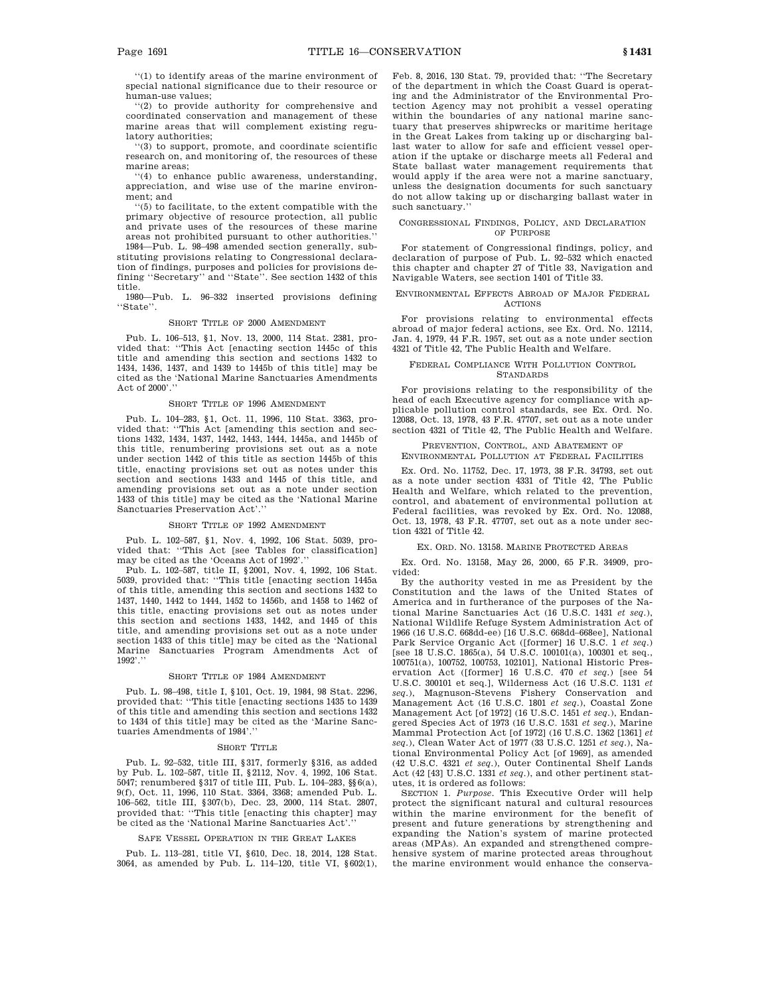''(1) to identify areas of the marine environment of special national significance due to their resource or human-use values;

''(2) to provide authority for comprehensive and coordinated conservation and management of these marine areas that will complement existing regulatory authorities;

''(3) to support, promote, and coordinate scientific research on, and monitoring of, the resources of these marine areas;

''(4) to enhance public awareness, understanding, appreciation, and wise use of the marine environment; and

 $\lq\lq(5)$  to facilitate, to the extent compatible with the primary objective of resource protection, all public and private uses of the resources of these marine areas not prohibited pursuant to other authorities.'' 1984—Pub. L. 98–498 amended section generally, sub-

stituting provisions relating to Congressional declaration of findings, purposes and policies for provisions defining ''Secretary'' and ''State''. See section 1432 of this title.

1980—Pub. L. 96–332 inserted provisions defining ''State''.

#### SHORT TITLE OF 2000 AMENDMENT

Pub. L. 106–513, §1, Nov. 13, 2000, 114 Stat. 2381, provided that: ''This Act [enacting section 1445c of this title and amending this section and sections 1432 to 1434, 1436, 1437, and 1439 to 1445b of this title] may be cited as the 'National Marine Sanctuaries Amendments Act of 2000'.''

#### SHORT TITLE OF 1996 AMENDMENT

Pub. L. 104–283, §1, Oct. 11, 1996, 110 Stat. 3363, provided that: ''This Act [amending this section and sections 1432, 1434, 1437, 1442, 1443, 1444, 1445a, and 1445b of this title, renumbering provisions set out as a note under section 1442 of this title as section 1445b of this title, enacting provisions set out as notes under this section and sections 1433 and 1445 of this title, and amending provisions set out as a note under section 1433 of this title] may be cited as the 'National Marine Sanctuaries Preservation Act'.''

#### SHORT TITLE OF 1992 AMENDMENT

Pub. L. 102–587, §1, Nov. 4, 1992, 106 Stat. 5039, provided that: ''This Act [see Tables for classification] may be cited as the 'Oceans Act of 1992'.''

Pub. L. 102–587, title II, §2001, Nov. 4, 1992, 106 Stat. 5039, provided that: ''This title [enacting section 1445a of this title, amending this section and sections 1432 to 1437, 1440, 1442 to 1444, 1452 to 1456b, and 1458 to 1462 of this title, enacting provisions set out as notes under this section and sections 1433, 1442, and 1445 of this title, and amending provisions set out as a note under section 1433 of this title] may be cited as the 'National Marine Sanctuaries Program Amendments Act of 1992'.''

### SHORT TITLE OF 1984 AMENDMENT

Pub. L. 98–498, title I, §101, Oct. 19, 1984, 98 Stat. 2296, provided that: ''This title [enacting sections 1435 to 1439 of this title and amending this section and sections 1432 to 1434 of this title] may be cited as the 'Marine Sanctuaries Amendments of 1984'.''

#### SHORT TITLE

Pub. L. 92–532, title III, §317, formerly §316, as added by Pub. L. 102–587, title II, §2112, Nov. 4, 1992, 106 Stat. 5047; renumbered §317 of title III, Pub. L. 104–283, §§6(a), 9(f), Oct. 11, 1996, 110 Stat. 3364, 3368; amended Pub. L. 106–562, title III, §307(b), Dec. 23, 2000, 114 Stat. 2807, provided that: ''This title [enacting this chapter] may be cited as the 'National Marine Sanctuaries Act'.'

#### SAFE VESSEL OPERATION IN THE GREAT LAKES

Pub. L. 113–281, title VI, §610, Dec. 18, 2014, 128 Stat. 3064, as amended by Pub. L. 114–120, title VI, §602(1), Feb. 8, 2016, 130 Stat. 79, provided that: ''The Secretary of the department in which the Coast Guard is operating and the Administrator of the Environmental Protection Agency may not prohibit a vessel operating within the boundaries of any national marine sanctuary that preserves shipwrecks or maritime heritage in the Great Lakes from taking up or discharging ballast water to allow for safe and efficient vessel operation if the uptake or discharge meets all Federal and State ballast water management requirements that would apply if the area were not a marine sanctuary, unless the designation documents for such sanctuary do not allow taking up or discharging ballast water in such sanctuary.''

### CONGRESSIONAL FINDINGS, POLICY, AND DECLARATION OF PURPOSE

For statement of Congressional findings, policy, and declaration of purpose of Pub. L. 92–532 which enacted this chapter and chapter 27 of Title 33, Navigation and Navigable Waters, see section 1401 of Title 33.

#### ENVIRONMENTAL EFFECTS ABROAD OF MAJOR FEDERAL ACTIONS

For provisions relating to environmental effects abroad of major federal actions, see Ex. Ord. No. 12114, Jan. 4, 1979, 44 F.R. 1957, set out as a note under section 4321 of Title 42, The Public Health and Welfare.

### FEDERAL COMPLIANCE WITH POLLUTION CONTROL STANDARDS

For provisions relating to the responsibility of the head of each Executive agency for compliance with applicable pollution control standards, see Ex. Ord. No. 12088, Oct. 13, 1978, 43 F.R. 47707, set out as a note under section 4321 of Title 42, The Public Health and Welfare.

# PREVENTION, CONTROL, AND ABATEMENT OF

ENVIRONMENTAL POLLUTION AT FEDERAL FACILITIES

Ex. Ord. No. 11752, Dec. 17, 1973, 38 F.R. 34793, set out as a note under section 4331 of Title 42, The Public Health and Welfare, which related to the prevention, control, and abatement of environmental pollution at Federal facilities, was revoked by Ex. Ord. No. 12088, Oct. 13, 1978, 43 F.R. 47707, set out as a note under section 4321 of Title 42.

### EX. ORD. NO. 13158. MARINE PROTECTED AREAS

Ex. Ord. No. 13158, May 26, 2000, 65 F.R. 34909, provided:

By the authority vested in me as President by the Constitution and the laws of the United States of America and in furtherance of the purposes of the National Marine Sanctuaries Act (16 U.S.C. 1431 *et seq*.), National Wildlife Refuge System Administration Act of 1966 (16 U.S.C. 668dd-ee) [16 U.S.C. 668dd–668ee], National Park Service Organic Act ([former] 16 U.S.C. 1 *et seq*.) [see 18 U.S.C. 1865(a), 54 U.S.C. 100101(a), 100301 et seq., 100751(a), 100752, 100753, 102101], National Historic Preservation Act ([former] 16 U.S.C. 470 *et seq*.) [see 54 U.S.C. 300101 et seq.], Wilderness Act (16 U.S.C. 1131 *et seq*.), Magnuson-Stevens Fishery Conservation and Management Act (16 U.S.C. 1801 *et seq*.), Coastal Zone Management Act [of 1972] (16 U.S.C. 1451 *et seq*.), Endangered Species Act of 1973 (16 U.S.C. 1531 *et seq*.), Marine Mammal Protection Act [of 1972] (16 U.S.C. 1362 [1361] *et seq*.), Clean Water Act of 1977 (33 U.S.C. 1251 *et seq*.), National Environmental Policy Act [of 1969], as amended (42 U.S.C. 4321 *et seq*.), Outer Continental Shelf Lands Act (42 [43] U.S.C. 1331 *et seq*.), and other pertinent statutes, it is ordered as follows:

SECTION 1. *Purpose*. This Executive Order will help protect the significant natural and cultural resources within the marine environment for the benefit of present and future generations by strengthening and expanding the Nation's system of marine protected areas (MPAs). An expanded and strengthened comprehensive system of marine protected areas throughout the marine environment would enhance the conserva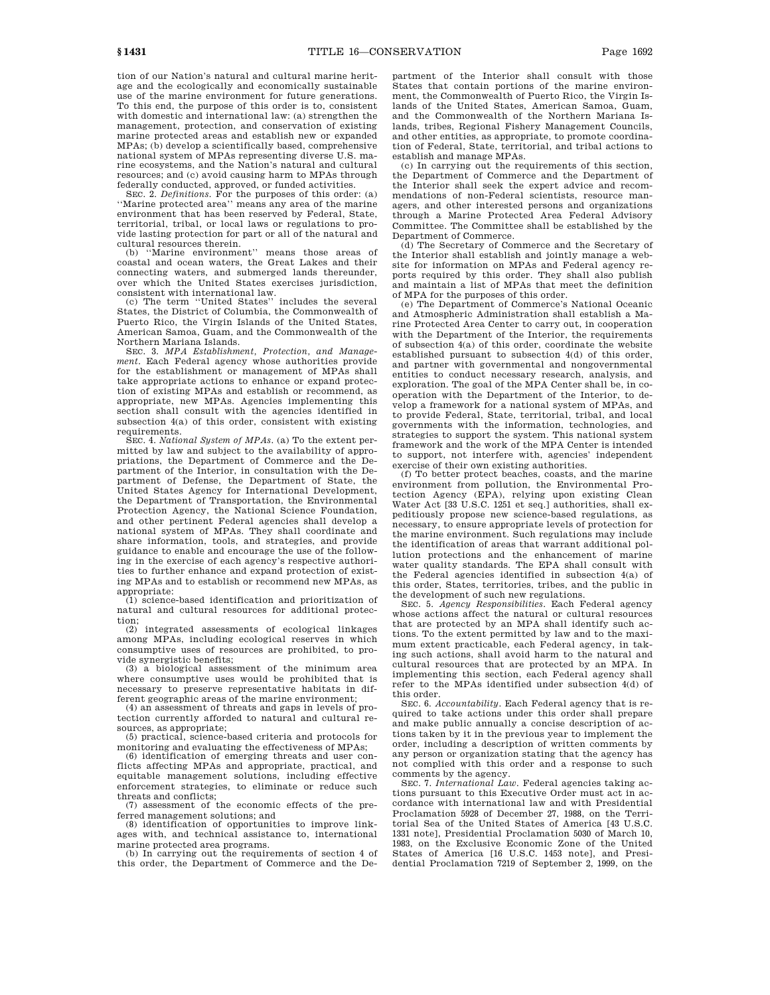tion of our Nation's natural and cultural marine heritage and the ecologically and economically sustainable use of the marine environment for future generations. To this end, the purpose of this order is to, consistent with domestic and international law: (a) strengthen the management, protection, and conservation of existing marine protected areas and establish new or expanded

MPAs; (b) develop a scientifically based, comprehensive national system of MPAs representing diverse U.S. marine ecosystems, and the Nation's natural and cultural resources; and (c) avoid causing harm to MPAs through

federally conducted, approved, or funded activities. SEC. 2. *Definitions*. For the purposes of this order: (a) ''Marine protected area'' means any area of the marine environment that has been reserved by Federal, State, territorial, tribal, or local laws or regulations to provide lasting protection for part or all of the natural and cultural resources therein.

(b) ''Marine environment'' means those areas of coastal and ocean waters, the Great Lakes and their connecting waters, and submerged lands thereunder, over which the United States exercises jurisdiction,

consistent with international law. (c) The term ''United States'' includes the several States, the District of Columbia, the Commonwealth of Puerto Rico, the Virgin Islands of the United States, American Samoa, Guam, and the Commonwealth of the Northern Mariana Islands.

SEC. 3. *MPA Establishment, Protection, and Management*. Each Federal agency whose authorities provide for the establishment or management of MPAs shall take appropriate actions to enhance or expand protection of existing MPAs and establish or recommend, as appropriate, new MPAs. Agencies implementing this section shall consult with the agencies identified in subsection 4(a) of this order, consistent with existing requirements.

SEC. 4. *National System of MPAs*. (a) To the extent permitted by law and subject to the availability of appropriations, the Department of Commerce and the Department of the Interior, in consultation with the Department of Defense, the Department of State, the United States Agency for International Development, the Department of Transportation, the Environmental Protection Agency, the National Science Foundation, and other pertinent Federal agencies shall develop a national system of MPAs. They shall coordinate and share information, tools, and strategies, and provide guidance to enable and encourage the use of the following in the exercise of each agency's respective authorities to further enhance and expand protection of existing MPAs and to establish or recommend new MPAs, as appropriate:

(1) science-based identification and prioritization of natural and cultural resources for additional protection;

(2) integrated assessments of ecological linkages among MPAs, including ecological reserves in which consumptive uses of resources are prohibited, to provide synergistic benefits;

(3) a biological assessment of the minimum area where consumptive uses would be prohibited that is necessary to preserve representative habitats in different geographic areas of the marine environment;

(4) an assessment of threats and gaps in levels of protection currently afforded to natural and cultural resources, as appropriate; (5) practical, science-based criteria and protocols for

monitoring and evaluating the effectiveness of MPAs;

(6) identification of emerging threats and user conflicts affecting MPAs and appropriate, practical, and equitable management solutions, including effective enforcement strategies, to eliminate or reduce such threats and conflicts;

(7) assessment of the economic effects of the preferred management solutions; and

(8) identification of opportunities to improve linkages with, and technical assistance to, international

marine protected area programs. (b) In carrying out the requirements of section 4 of this order, the Department of Commerce and the Department of the Interior shall consult with those States that contain portions of the marine environment, the Commonwealth of Puerto Rico, the Virgin Islands of the United States, American Samoa, Guam, and the Commonwealth of the Northern Mariana Islands, tribes, Regional Fishery Management Councils, and other entities, as appropriate, to promote coordination of Federal, State, territorial, and tribal actions to establish and manage MPAs.

(c) In carrying out the requirements of this section, the Department of Commerce and the Department of the Interior shall seek the expert advice and recommendations of non-Federal scientists, resource managers, and other interested persons and organizations through a Marine Protected Area Federal Advisory Committee. The Committee shall be established by the Department of Commerce.

(d) The Secretary of Commerce and the Secretary of the Interior shall establish and jointly manage a website for information on MPAs and Federal agency reports required by this order. They shall also publish and maintain a list of MPAs that meet the definition of MPA for the purposes of this order.

(e) The Department of Commerce's National Oceanic and Atmospheric Administration shall establish a Marine Protected Area Center to carry out, in cooperation with the Department of the Interior, the requirements of subsection 4(a) of this order, coordinate the website established pursuant to subsection 4(d) of this order, and partner with governmental and nongovernmental entities to conduct necessary research, analysis, and exploration. The goal of the MPA Center shall be, in cooperation with the Department of the Interior, to develop a framework for a national system of MPAs, and to provide Federal, State, territorial, tribal, and local governments with the information, technologies, and strategies to support the system. This national system framework and the work of the MPA Center is intended to support, not interfere with, agencies' independent exercise of their own existing authorities.

(f) To better protect beaches, coasts, and the marine environment from pollution, the Environmental Protection Agency (EPA), relying upon existing Clean Water Act [33 U.S.C. 1251 et seq.] authorities, shall expeditiously propose new science-based regulations, as necessary, to ensure appropriate levels of protection for the marine environment. Such regulations may include the identification of areas that warrant additional pollution protections and the enhancement of marine water quality standards. The EPA shall consult with the Federal agencies identified in subsection 4(a) of this order, States, territories, tribes, and the public in the development of such new regulations.

SEC. 5. *Agency Responsibilities*. Each Federal agency whose actions affect the natural or cultural resources that are protected by an MPA shall identify such actions. To the extent permitted by law and to the maximum extent practicable, each Federal agency, in taking such actions, shall avoid harm to the natural and cultural resources that are protected by an MPA. In implementing this section, each Federal agency shall refer to the MPAs identified under subsection 4(d) of this order.

SEC. 6. *Accountability*. Each Federal agency that is required to take actions under this order shall prepare and make public annually a concise description of actions taken by it in the previous year to implement the order, including a description of written comments by any person or organization stating that the agency has not complied with this order and a response to such comments by the agency.

SEC. 7. *International Law*. Federal agencies taking actions pursuant to this Executive Order must act in accordance with international law and with Presidential Proclamation 5928 of December 27, 1988, on the Territorial Sea of the United States of America [43 U.S.C. 1331 note], Presidential Proclamation 5030 of March 10, 1983, on the Exclusive Economic Zone of the United States of America [16 U.S.C. 1453 note], and Presidential Proclamation 7219 of September 2, 1999, on the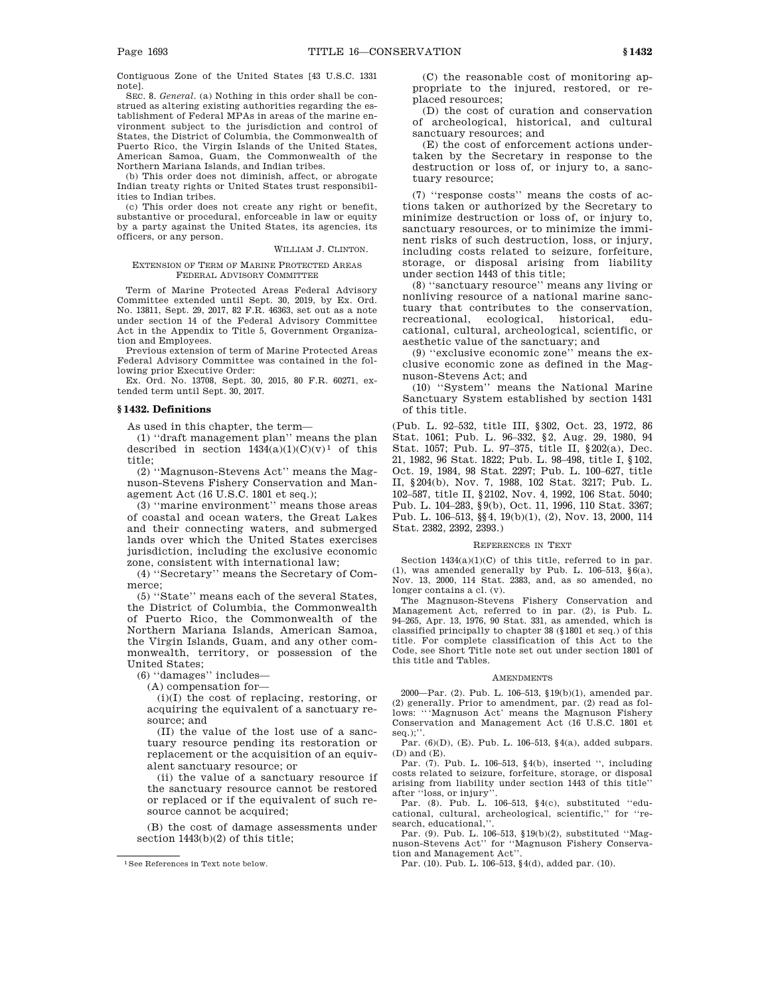Contiguous Zone of the United States [43 U.S.C. 1331 note].

SEC. 8. *General*. (a) Nothing in this order shall be construed as altering existing authorities regarding the establishment of Federal MPAs in areas of the marine environment subject to the jurisdiction and control of States, the District of Columbia, the Commonwealth of Puerto Rico, the Virgin Islands of the United States, American Samoa, Guam, the Commonwealth of the Northern Mariana Islands, and Indian tribes.

(b) This order does not diminish, affect, or abrogate Indian treaty rights or United States trust responsibilities to Indian tribes.

(c) This order does not create any right or benefit, substantive or procedural, enforceable in law or equity by a party against the United States, its agencies, its officers, or any person.

WILLIAM J. CLINTON.

### EXTENSION OF TERM OF MARINE PROTECTED AREAS FEDERAL ADVISORY COMMITTEE

Term of Marine Protected Areas Federal Advisory Committee extended until Sept. 30, 2019, by Ex. Ord. No. 13811, Sept. 29, 2017, 82 F.R. 46363, set out as a note under section 14 of the Federal Advisory Committee Act in the Appendix to Title 5, Government Organization and Employees.

Previous extension of term of Marine Protected Areas Federal Advisory Committee was contained in the following prior Executive Order:

Ex. Ord. No. 13708, Sept. 30, 2015, 80 F.R. 60271, extended term until Sept. 30, 2017.

### **§ 1432. Definitions**

As used in this chapter, the term—

(1) ''draft management plan'' means the plan described in section  $1434(a)(1)(C)(v)^1$  of this title;

(2) ''Magnuson-Stevens Act'' means the Magnuson-Stevens Fishery Conservation and Management Act (16 U.S.C. 1801 et seq.);

(3) ''marine environment'' means those areas of coastal and ocean waters, the Great Lakes and their connecting waters, and submerged lands over which the United States exercises jurisdiction, including the exclusive economic zone, consistent with international law;

(4) ''Secretary'' means the Secretary of Commerce;

(5) ''State'' means each of the several States, the District of Columbia, the Commonwealth of Puerto Rico, the Commonwealth of the Northern Mariana Islands, American Samoa, the Virgin Islands, Guam, and any other commonwealth, territory, or possession of the United States;

(6) ''damages'' includes—

(A) compensation for—

(i)(I) the cost of replacing, restoring, or acquiring the equivalent of a sanctuary resource; and

(II) the value of the lost use of a sanctuary resource pending its restoration or replacement or the acquisition of an equivalent sanctuary resource; or

(ii) the value of a sanctuary resource if the sanctuary resource cannot be restored or replaced or if the equivalent of such resource cannot be acquired;

(B) the cost of damage assessments under section 1443(b)(2) of this title;

(C) the reasonable cost of monitoring appropriate to the injured, restored, or replaced resources;

(D) the cost of curation and conservation of archeological, historical, and cultural sanctuary resources; and

(E) the cost of enforcement actions undertaken by the Secretary in response to the destruction or loss of, or injury to, a sanctuary resource;

(7) ''response costs'' means the costs of actions taken or authorized by the Secretary to minimize destruction or loss of, or injury to, sanctuary resources, or to minimize the imminent risks of such destruction, loss, or injury, including costs related to seizure, forfeiture, storage, or disposal arising from liability under section 1443 of this title;

(8) ''sanctuary resource'' means any living or nonliving resource of a national marine sanctuary that contributes to the conservation, recreational, ecological, historical, educational, cultural, archeological, scientific, or aesthetic value of the sanctuary; and

(9) ''exclusive economic zone'' means the exclusive economic zone as defined in the Magnuson-Stevens Act; and

(10) ''System'' means the National Marine Sanctuary System established by section 1431 of this title.

(Pub. L. 92–532, title III, §302, Oct. 23, 1972, 86 Stat. 1061; Pub. L. 96–332, §2, Aug. 29, 1980, 94 Stat. 1057; Pub. L. 97–375, title II, §202(a), Dec. 21, 1982, 96 Stat. 1822; Pub. L. 98–498, title I, §102, Oct. 19, 1984, 98 Stat. 2297; Pub. L. 100–627, title II, §204(b), Nov. 7, 1988, 102 Stat. 3217; Pub. L. 102–587, title II, §2102, Nov. 4, 1992, 106 Stat. 5040; Pub. L. 104–283, §9(b), Oct. 11, 1996, 110 Stat. 3367; Pub. L. 106–513, §§4, 19(b)(1), (2), Nov. 13, 2000, 114 Stat. 2382, 2392, 2393.)

#### REFERENCES IN TEXT

Section 1434(a)(1)(C) of this title, referred to in par. (1), was amended generally by Pub. L.  $106-513$ ,  $§6(a)$ , Nov. 13, 2000, 114 Stat. 2383, and, as so amended, no longer contains a cl. (v).

The Magnuson-Stevens Fishery Conservation and Management Act, referred to in par. (2), is Pub. L. 94–265, Apr. 13, 1976, 90 Stat. 331, as amended, which is classified principally to chapter 38 (§1801 et seq.) of this title. For complete classification of this Act to the Code, see Short Title note set out under section 1801 of this title and Tables.

#### AMENDMENTS

2000—Par. (2). Pub. L. 106–513, §19(b)(1), amended par. (2) generally. Prior to amendment, par. (2) read as follows: '''Magnuson Act' means the Magnuson Fishery Conservation and Management Act (16 U.S.C. 1801 et seq.);''.

Par. (6)(D), (E). Pub. L. 106–513, §4(a), added subpars. (D) and (E).

Par. (7). Pub. L. 106–513, §4(b), inserted '', including costs related to seizure, forfeiture, storage, or disposal arising from liability under section 1443 of this title'' after ''loss, or injury''.

Par. (8). Pub. L. 106-513, §4(c), substituted "educational, cultural, archeological, scientific,'' for ''research, educational.

Par. (9). Pub. L. 106–513, §19(b)(2), substituted ''Magnuson-Stevens Act'' for ''Magnuson Fishery Conserva-tion and Management Act''.

Par. (10). Pub. L. 106–513, §4(d), added par. (10).

<sup>1</sup>See References in Text note below.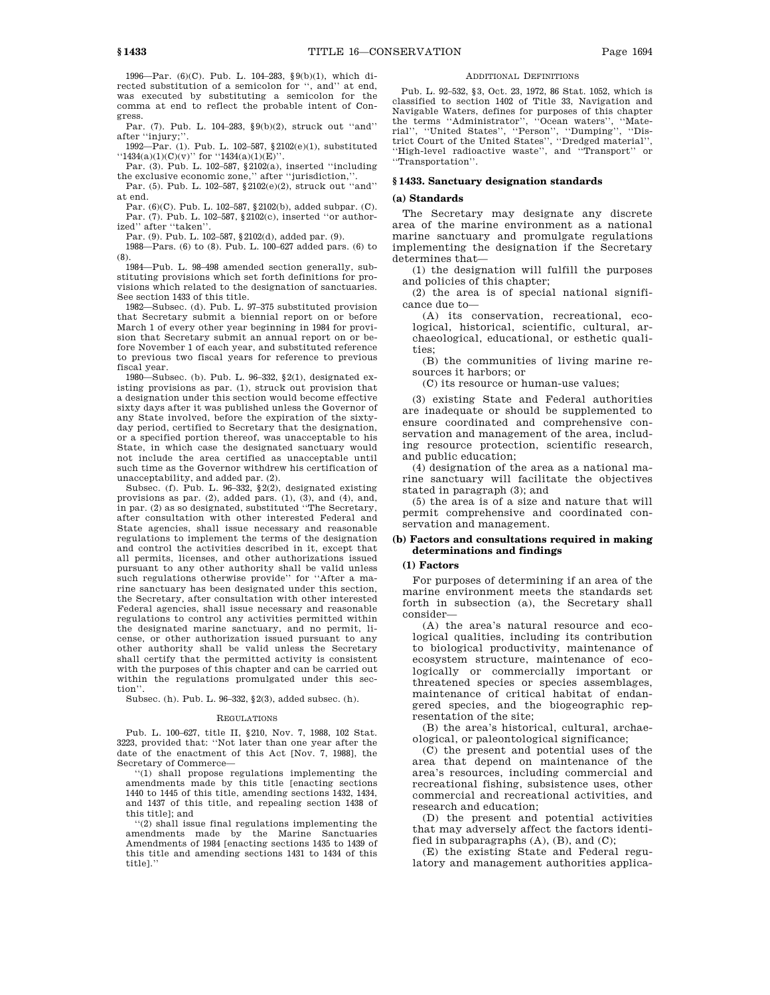1996—Par. (6)(C). Pub. L. 104–283, §9(b)(1), which directed substitution of a semicolon for '', and'' at end, was executed by substituting a semicolon for the comma at end to reflect the probable intent of Congress.

Par. (7). Pub. L. 104–283, §9(b)(2), struck out ''and'' after "injury;"

1992—Par. (1). Pub. L. 102–587, §2102(e)(1), substituted  $``1434(a)(1)(C)(v)"$  for  $``1434(a)(1)(E)"$ 

Par. (3). Pub. L. 102-587, §2102(a), inserted "including the exclusive economic zone," after "jurisdiction,"

Par. (5). Pub. L. 102–587, §2102(e)(2), struck out ''and'' at end. Par. (6)(C). Pub. L. 102–587, §2102(b), added subpar. (C).

Par. (7). Pub. L. 102–587, §2102(c), inserted ''or authorized'' after ''taken''.

Par. (9). Pub. L. 102–587, §2102(d), added par. (9).

1988—Pars. (6) to (8). Pub. L. 100–627 added pars. (6) to (8).

1984—Pub. L. 98–498 amended section generally, substituting provisions which set forth definitions for provisions which related to the designation of sanctuaries. See section 1433 of this title.

1982—Subsec. (d). Pub. L. 97–375 substituted provision that Secretary submit a biennial report on or before March 1 of every other year beginning in 1984 for provision that Secretary submit an annual report on or before November 1 of each year, and substituted reference to previous two fiscal years for reference to previous fiscal year.

1980—Subsec. (b). Pub. L. 96–332, §2(1), designated existing provisions as par. (1), struck out provision that a designation under this section would become effective sixty days after it was published unless the Governor of any State involved, before the expiration of the sixtyday period, certified to Secretary that the designation, or a specified portion thereof, was unacceptable to his State, in which case the designated sanctuary would not include the area certified as unacceptable until such time as the Governor withdrew his certification of unacceptability, and added par. (2).

Subsec. (f). Pub. L. 96–332, §2(2), designated existing provisions as par. (2), added pars. (1),  $(3)$ , and  $(4)$ , and, in par. (2) as so designated, substituted ''The Secretary, after consultation with other interested Federal and State agencies, shall issue necessary and reasonable regulations to implement the terms of the designation and control the activities described in it, except that all permits, licenses, and other authorizations issued pursuant to any other authority shall be valid unless such regulations otherwise provide'' for ''After a marine sanctuary has been designated under this section, the Secretary, after consultation with other interested Federal agencies, shall issue necessary and reasonable regulations to control any activities permitted within the designated marine sanctuary, and no permit, license, or other authorization issued pursuant to any other authority shall be valid unless the Secretary shall certify that the permitted activity is consistent with the purposes of this chapter and can be carried out within the regulations promulgated under this section''.

Subsec. (h). Pub. L. 96–332, §2(3), added subsec. (h).

#### REGIILATIONS

Pub. L. 100–627, title II, §210, Nov. 7, 1988, 102 Stat. 3223, provided that: ''Not later than one year after the date of the enactment of this Act [Nov. 7, 1988], the Secretary of Commerce—

''(1) shall propose regulations implementing the amendments made by this title [enacting sections 1440 to 1445 of this title, amending sections 1432, 1434, and 1437 of this title, and repealing section 1438 of this title]; and

''(2) shall issue final regulations implementing the amendments made by the Marine Sanctuaries Amendments of 1984 [enacting sections 1435 to 1439 of this title and amending sections 1431 to 1434 of this title].''

### ADDITIONAL DEFINITIONS

Pub. L. 92–532, §3, Oct. 23, 1972, 86 Stat. 1052, which is classified to section 1402 of Title 33, Navigation and Navigable Waters, defines for purposes of this chapter the terms ''Administrator'', ''Ocean waters'', ''Material'', ''United States'', ''Person'', ''Dumping'', ''District Court of the United States'', ''Dredged material'', ''High-level radioactive waste'', and ''Transport'' or ''Transportation''.

### **§ 1433. Sanctuary designation standards**

### **(a) Standards**

The Secretary may designate any discrete area of the marine environment as a national marine sanctuary and promulgate regulations implementing the designation if the Secretary determines that—

(1) the designation will fulfill the purposes and policies of this chapter;

(2) the area is of special national significance due to—

(A) its conservation, recreational, ecological, historical, scientific, cultural, archaeological, educational, or esthetic qualities;

(B) the communities of living marine resources it harbors; or

(C) its resource or human-use values;

(3) existing State and Federal authorities are inadequate or should be supplemented to ensure coordinated and comprehensive conservation and management of the area, including resource protection, scientific research, and public education;

(4) designation of the area as a national marine sanctuary will facilitate the objectives stated in paragraph (3); and

(5) the area is of a size and nature that will permit comprehensive and coordinated conservation and management.

### **(b) Factors and consultations required in making determinations and findings**

### **(1) Factors**

For purposes of determining if an area of the marine environment meets the standards set forth in subsection (a), the Secretary shall consider—

(A) the area's natural resource and ecological qualities, including its contribution to biological productivity, maintenance of ecosystem structure, maintenance of ecologically or commercially important or threatened species or species assemblages, maintenance of critical habitat of endangered species, and the biogeographic representation of the site;

(B) the area's historical, cultural, archaeological, or paleontological significance;

(C) the present and potential uses of the area that depend on maintenance of the area's resources, including commercial and recreational fishing, subsistence uses, other commercial and recreational activities, and research and education;

(D) the present and potential activities that may adversely affect the factors identified in subparagraphs  $(A)$ ,  $(B)$ , and  $(C)$ ;

(E) the existing State and Federal regulatory and management authorities applica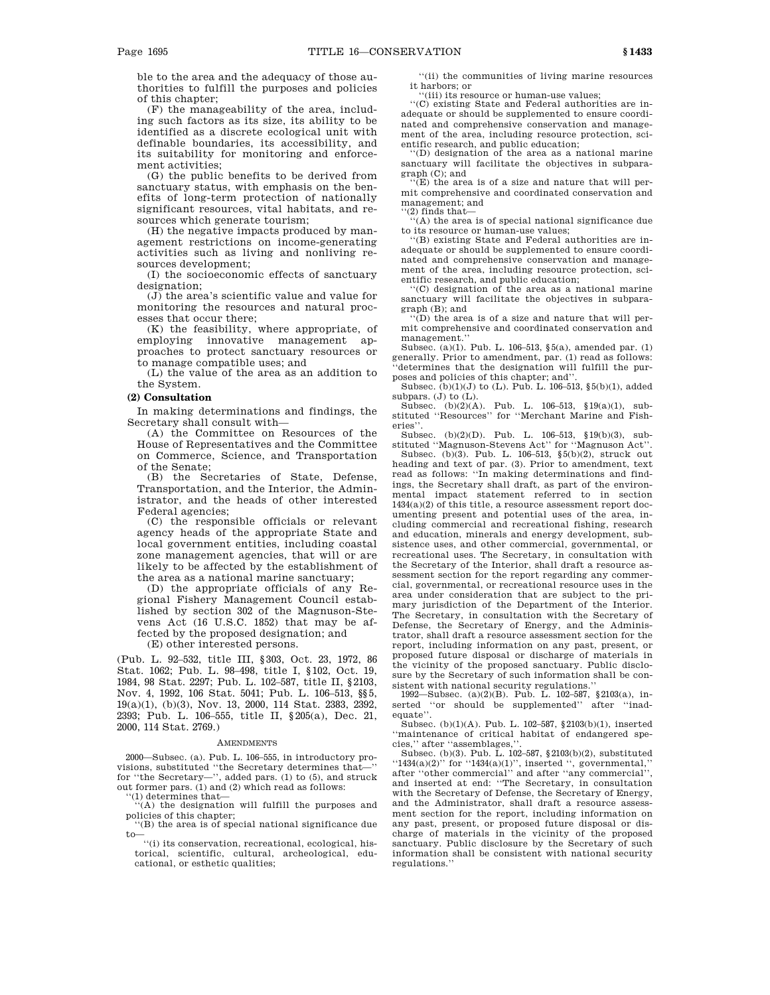ble to the area and the adequacy of those authorities to fulfill the purposes and policies of this chapter;

(F) the manageability of the area, including such factors as its size, its ability to be identified as a discrete ecological unit with definable boundaries, its accessibility, and its suitability for monitoring and enforcement activities;

(G) the public benefits to be derived from sanctuary status, with emphasis on the benefits of long-term protection of nationally significant resources, vital habitats, and resources which generate tourism;

(H) the negative impacts produced by management restrictions on income-generating activities such as living and nonliving resources development;

(I) the socioeconomic effects of sanctuary designation;

(J) the area's scientific value and value for monitoring the resources and natural processes that occur there;

(K) the feasibility, where appropriate, of employing innovative management approaches to protect sanctuary resources or to manage compatible uses; and

(L) the value of the area as an addition to the System.

### **(2) Consultation**

In making determinations and findings, the Secretary shall consult with—

(A) the Committee on Resources of the House of Representatives and the Committee on Commerce, Science, and Transportation of the Senate;

(B) the Secretaries of State, Defense, Transportation, and the Interior, the Administrator, and the heads of other interested Federal agencies;

(C) the responsible officials or relevant agency heads of the appropriate State and local government entities, including coastal zone management agencies, that will or are likely to be affected by the establishment of the area as a national marine sanctuary;

(D) the appropriate officials of any Regional Fishery Management Council established by section 302 of the Magnuson-Stevens Act (16 U.S.C. 1852) that may be affected by the proposed designation; and

(E) other interested persons.

(Pub. L. 92–532, title III, §303, Oct. 23, 1972, 86 Stat. 1062; Pub. L. 98–498, title I, §102, Oct. 19, 1984, 98 Stat. 2297; Pub. L. 102–587, title II, §2103, Nov. 4, 1992, 106 Stat. 5041; Pub. L. 106–513, §§5, 19(a)(1), (b)(3), Nov. 13, 2000, 114 Stat. 2383, 2392, 2393; Pub. L. 106–555, title II, §205(a), Dec. 21, 2000, 114 Stat. 2769.)

### AMENDMENTS

2000—Subsec. (a). Pub. L. 106–555, in introductory provisions, substituted ''the Secretary determines that—'' for ''the Secretary—'', added pars. (1) to (5), and struck out former pars. (1) and (2) which read as follows:

''(1) determines that— ''(A) the designation will fulfill the purposes and

policies of this chapter; ''(B) the area is of special national significance due

to— ''(i) its conservation, recreational, ecological, historical, scientific, cultural, archeological, educational, or esthetic qualities;

''(ii) the communities of living marine resources it harbors; or

''(iii) its resource or human-use values;

''(C) existing State and Federal authorities are inadequate or should be supplemented to ensure coordinated and comprehensive conservation and management of the area, including resource protection, scientific research, and public education; ''(D) designation of the area as a national marine

sanctuary will facilitate the objectives in subparagraph (C); and

''(E) the area is of a size and nature that will permit comprehensive and coordinated conservation and management; and

''(2) finds that—

''(A) the area is of special national significance due to its resource or human-use values;

''(B) existing State and Federal authorities are inadequate or should be supplemented to ensure coordinated and comprehensive conservation and management of the area, including resource protection, sci-

entific research, and public education; ''(C) designation of the area as a national marine sanctuary will facilitate the objectives in subparagraph (B); and

 $\widehat{f}(D)$  the area is of a size and nature that will permit comprehensive and coordinated conservation and management.''

Subsec. (a)(1). Pub. L. 106–513, §5(a), amended par. (1) generally. Prior to amendment, par. (1) read as follows: 'determines that the designation will fulfill the pur-

poses and policies of this chapter; and''. Subsec.  $(b)(1)(J)$  to  $(L)$ . Pub. L. 106-513, §5(b)(1), added

subpars. (J) to (L). Subsec. (b)(2)(A). Pub. L. 106–513, §19(a)(1), substituted ''Resources'' for ''Merchant Marine and Fisheries''.

Subsec. (b)(2)(D). Pub. L. 106–513, §19(b)(3), sub-

stituted ''Magnuson-Stevens Act'' for ''Magnuson Act''. Subsec. (b)(3). Pub. L. 106–513, §5(b)(2), struck out heading and text of par. (3). Prior to amendment, text read as follows: ''In making determinations and findings, the Secretary shall draft, as part of the environmental impact statement referred to in section 1434(a)(2) of this title, a resource assessment report documenting present and potential uses of the area, including commercial and recreational fishing, research and education, minerals and energy development, subsistence uses, and other commercial, governmental, or recreational uses. The Secretary, in consultation with the Secretary of the Interior, shall draft a resource assessment section for the report regarding any commercial, governmental, or recreational resource uses in the area under consideration that are subject to the primary jurisdiction of the Department of the Interior. The Secretary, in consultation with the Secretary of Defense, the Secretary of Energy, and the Administrator, shall draft a resource assessment section for the report, including information on any past, present, or proposed future disposal or discharge of materials in the vicinity of the proposed sanctuary. Public disclosure by the Secretary of such information shall be consistent with national security regulations.''

1992—Subsec. (a)(2)(B). Pub. L. 102–587, §2103(a), inserted "or should be supplemented" after "inadequate''.

Subsec. (b)(1)(A). Pub. L. 102–587, §2103(b)(1), inserted ''maintenance of critical habitat of endangered species," after "assemblages,

Subsec. (b)(3). Pub. L. 102–587, §2103(b)(2), substituted  $``1434(a)(2)"$  for  $``1434(a)(1)"$ , inserted  $``$ , governmental, after ''other commercial'' and after ''any commercial'', and inserted at end: ''The Secretary, in consultation with the Secretary of Defense, the Secretary of Energy, and the Administrator, shall draft a resource assessment section for the report, including information on any past, present, or proposed future disposal or discharge of materials in the vicinity of the proposed sanctuary. Public disclosure by the Secretary of such information shall be consistent with national security regulations.''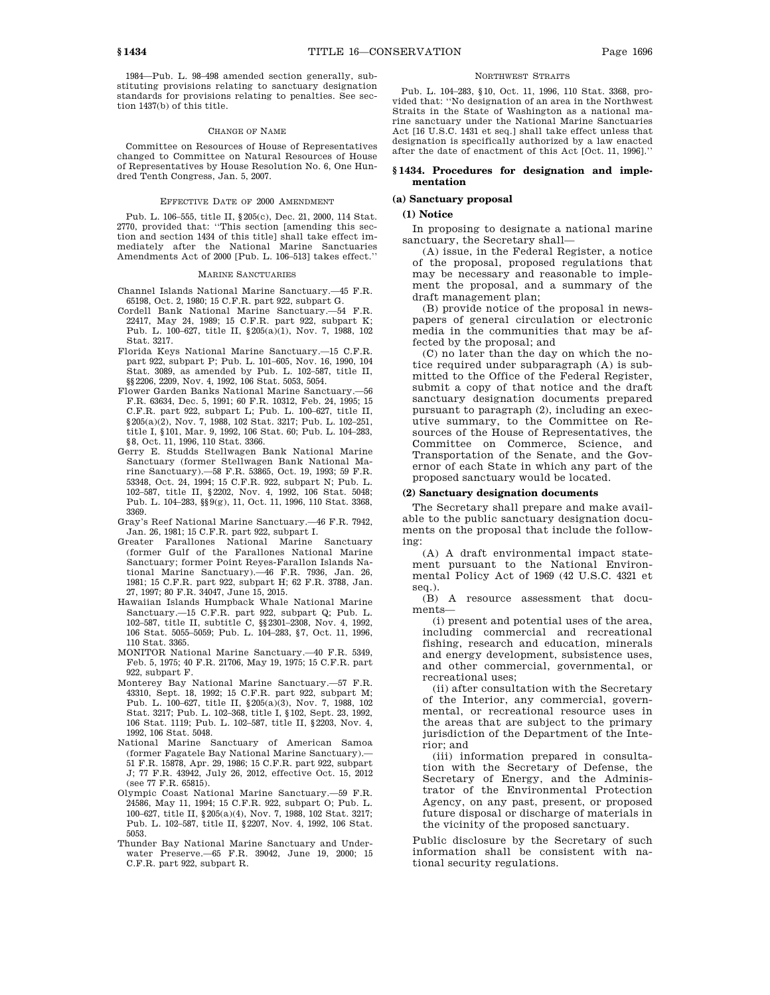1984—Pub. L. 98–498 amended section generally, substituting provisions relating to sanctuary designation standards for provisions relating to penalties. See section 1437(b) of this title.

### CHANGE OF NAME

Committee on Resources of House of Representatives changed to Committee on Natural Resources of House of Representatives by House Resolution No. 6, One Hundred Tenth Congress, Jan. 5, 2007.

### EFFECTIVE DATE OF 2000 AMENDMENT

Pub. L. 106–555, title II, §205(c), Dec. 21, 2000, 114 Stat. 2770, provided that: ''This section [amending this section and section 1434 of this title] shall take effect immediately after the National Marine Sanctuaries Amendments Act of 2000 [Pub. L. 106–513] takes effect.''

#### MARINE SANCTUARIES

Channel Islands National Marine Sanctuary.—45 F.R. 65198, Oct. 2, 1980; 15 C.F.R. part 922, subpart G.

- Cordell Bank National Marine Sanctuary.—54 F.R. 22417, May 24, 1989; 15 C.F.R. part 922, subpart K; Pub. L. 100–627, title II, §205(a)(1), Nov. 7, 1988, 102 Stat. 3217.
- Florida Keys National Marine Sanctuary.—15 C.F.R. part 922, subpart P; Pub. L. 101–605, Nov. 16, 1990, 104 Stat. 3089, as amended by Pub. L. 102–587, title II, §§2206, 2209, Nov. 4, 1992, 106 Stat. 5053, 5054.
- Flower Garden Banks National Marine Sanctuary.—56 F.R. 63634, Dec. 5, 1991; 60 F.R. 10312, Feb. 24, 1995; 15 C.F.R. part 922, subpart L; Pub. L. 100–627, title II, §205(a)(2), Nov. 7, 1988, 102 Stat. 3217; Pub. L. 102-251, title I, §101, Mar. 9, 1992, 106 Stat. 60; Pub. L. 104–283, §8, Oct. 11, 1996, 110 Stat. 3366.
- Gerry E. Studds Stellwagen Bank National Marine Sanctuary (former Stellwagen Bank National Marine Sanctuary).—58 F.R. 53865, Oct. 19, 1993; 59 F.R. 53348, Oct. 24, 1994; 15 C.F.R. 922, subpart N; Pub. L. 102–587, title II, §2202, Nov. 4, 1992, 106 Stat. 5048; Pub. L. 104–283, §§9(g), 11, Oct. 11, 1996, 110 Stat. 3368, 3369.

Gray's Reef National Marine Sanctuary.—46 F.R. 7942, Jan. 26, 1981; 15 C.F.R. part 922, subpart I.

- Greater Farallones National Marine Sanctuary (former Gulf of the Farallones National Marine Sanctuary; former Point Reyes-Farallon Islands National Marine Sanctuary).—46 F.R. 7936, Jan. 26, 1981; 15 C.F.R. part 922, subpart H; 62 F.R. 3788, Jan. 27, 1997; 80 F.R. 34047, June 15, 2015.
- Hawaiian Islands Humpback Whale National Marine Sanctuary.—15 C.F.R. part 922, subpart Q; Pub. L. 102–587, title II, subtitle C, §§2301–2308, Nov. 4, 1992, 106 Stat. 5055–5059; Pub. L. 104–283, §7, Oct. 11, 1996, 110 Stat. 3365.
- MONITOR National Marine Sanctuary.—40 F.R. 5349, Feb. 5, 1975; 40 F.R. 21706, May 19, 1975; 15 C.F.R. part 922, subpart F.
- Monterey Bay National Marine Sanctuary.—57 F.R. 43310, Sept. 18, 1992; 15 C.F.R. part 922, subpart M; Pub. L. 100–627, title II, §205(a)(3), Nov. 7, 1988, 102 Stat. 3217; Pub. L. 102–368, title I, §102, Sept. 23, 1992, 106 Stat. 1119; Pub. L. 102–587, title II, §2203, Nov. 4, 1992, 106 Stat. 5048.
- National Marine Sanctuary of American Samoa (former Fagatele Bay National Marine Sanctuary).— 51 F.R. 15878, Apr. 29, 1986; 15 C.F.R. part 922, subpart J; 77 F.R. 43942, July 26, 2012, effective Oct. 15, 2012 (see 77 F.R. 65815).
- Olympic Coast National Marine Sanctuary.—59 F.R. 24586, May 11, 1994; 15 C.F.R. 922, subpart O; Pub. L. 100–627, title II, §205(a)(4), Nov. 7, 1988, 102 Stat. 3217; Pub. L. 102–587, title II, §2207, Nov. 4, 1992, 106 Stat. 5053.
- Thunder Bay National Marine Sanctuary and Underwater Preserve.—65 F.R. 39042, June 19, 2000; 15 C.F.R. part 922, subpart R.

### NORTHWEST STRAITS

Pub. L. 104–283, §10, Oct. 11, 1996, 110 Stat. 3368, provided that: ''No designation of an area in the Northwest Straits in the State of Washington as a national marine sanctuary under the National Marine Sanctuaries Act [16 U.S.C. 1431 et seq.] shall take effect unless that designation is specifically authorized by a law enacted after the date of enactment of this Act [Oct. 11, 1996].''

### **§ 1434. Procedures for designation and implementation**

# **(a) Sanctuary proposal**

### **(1) Notice**

In proposing to designate a national marine sanctuary, the Secretary shall—

(A) issue, in the Federal Register, a notice of the proposal, proposed regulations that may be necessary and reasonable to implement the proposal, and a summary of the draft management plan;

(B) provide notice of the proposal in newspapers of general circulation or electronic media in the communities that may be affected by the proposal; and

(C) no later than the day on which the notice required under subparagraph (A) is submitted to the Office of the Federal Register, submit a copy of that notice and the draft sanctuary designation documents prepared pursuant to paragraph (2), including an executive summary, to the Committee on Resources of the House of Representatives, the Committee on Commerce, Science, and Transportation of the Senate, and the Governor of each State in which any part of the proposed sanctuary would be located.

### **(2) Sanctuary designation documents**

The Secretary shall prepare and make available to the public sanctuary designation documents on the proposal that include the following:

(A) A draft environmental impact statement pursuant to the National Environmental Policy Act of 1969 (42 U.S.C. 4321 et seq.).

(B) A resource assessment that documents—

(i) present and potential uses of the area, including commercial and recreational fishing, research and education, minerals and energy development, subsistence uses, and other commercial, governmental, or recreational uses;

(ii) after consultation with the Secretary of the Interior, any commercial, governmental, or recreational resource uses in the areas that are subject to the primary jurisdiction of the Department of the Interior; and

(iii) information prepared in consultation with the Secretary of Defense, the Secretary of Energy, and the Administrator of the Environmental Protection Agency, on any past, present, or proposed future disposal or discharge of materials in the vicinity of the proposed sanctuary.

Public disclosure by the Secretary of such information shall be consistent with national security regulations.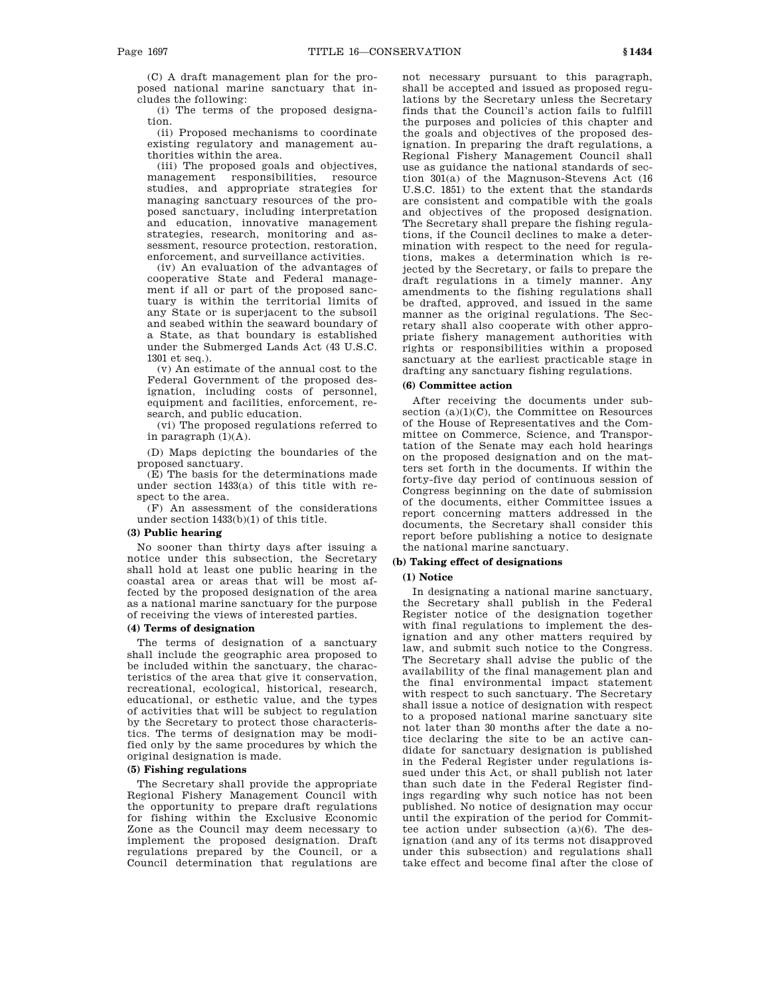(C) A draft management plan for the proposed national marine sanctuary that includes the following:

(i) The terms of the proposed designation.

(ii) Proposed mechanisms to coordinate existing regulatory and management authorities within the area.

(iii) The proposed goals and objectives,<br>anagement responsibilities, resource management responsibilities, studies, and appropriate strategies for managing sanctuary resources of the proposed sanctuary, including interpretation and education, innovative management strategies, research, monitoring and assessment, resource protection, restoration, enforcement, and surveillance activities.

(iv) An evaluation of the advantages of cooperative State and Federal management if all or part of the proposed sanctuary is within the territorial limits of any State or is superjacent to the subsoil and seabed within the seaward boundary of a State, as that boundary is established under the Submerged Lands Act (43 U.S.C. 1301 et seq.).

(v) An estimate of the annual cost to the Federal Government of the proposed designation, including costs of personnel, equipment and facilities, enforcement, research, and public education.

(vi) The proposed regulations referred to in paragraph (1)(A).

(D) Maps depicting the boundaries of the proposed sanctuary.

(E) The basis for the determinations made under section 1433(a) of this title with respect to the area.

(F) An assessment of the considerations under section 1433(b)(1) of this title.

### **(3) Public hearing**

No sooner than thirty days after issuing a notice under this subsection, the Secretary shall hold at least one public hearing in the coastal area or areas that will be most affected by the proposed designation of the area as a national marine sanctuary for the purpose of receiving the views of interested parties.

### **(4) Terms of designation**

The terms of designation of a sanctuary shall include the geographic area proposed to be included within the sanctuary, the characteristics of the area that give it conservation, recreational, ecological, historical, research, educational, or esthetic value, and the types of activities that will be subject to regulation by the Secretary to protect those characteristics. The terms of designation may be modified only by the same procedures by which the original designation is made.

# **(5) Fishing regulations**

The Secretary shall provide the appropriate Regional Fishery Management Council with the opportunity to prepare draft regulations for fishing within the Exclusive Economic Zone as the Council may deem necessary to implement the proposed designation. Draft regulations prepared by the Council, or a Council determination that regulations are not necessary pursuant to this paragraph, shall be accepted and issued as proposed regulations by the Secretary unless the Secretary finds that the Council's action fails to fulfill the purposes and policies of this chapter and the goals and objectives of the proposed designation. In preparing the draft regulations, a Regional Fishery Management Council shall use as guidance the national standards of section 301(a) of the Magnuson-Stevens Act (16 U.S.C. 1851) to the extent that the standards are consistent and compatible with the goals and objectives of the proposed designation. The Secretary shall prepare the fishing regulations, if the Council declines to make a determination with respect to the need for regulations, makes a determination which is rejected by the Secretary, or fails to prepare the draft regulations in a timely manner. Any amendments to the fishing regulations shall be drafted, approved, and issued in the same manner as the original regulations. The Secretary shall also cooperate with other appropriate fishery management authorities with rights or responsibilities within a proposed sanctuary at the earliest practicable stage in drafting any sanctuary fishing regulations.

### **(6) Committee action**

After receiving the documents under subsection  $(a)(1)(C)$ , the Committee on Resources of the House of Representatives and the Committee on Commerce, Science, and Transportation of the Senate may each hold hearings on the proposed designation and on the matters set forth in the documents. If within the forty-five day period of continuous session of Congress beginning on the date of submission of the documents, either Committee issues a report concerning matters addressed in the documents, the Secretary shall consider this report before publishing a notice to designate the national marine sanctuary.

# **(b) Taking effect of designations**

### **(1) Notice**

In designating a national marine sanctuary, the Secretary shall publish in the Federal Register notice of the designation together with final regulations to implement the designation and any other matters required by law, and submit such notice to the Congress. The Secretary shall advise the public of the availability of the final management plan and the final environmental impact statement with respect to such sanctuary. The Secretary shall issue a notice of designation with respect to a proposed national marine sanctuary site not later than 30 months after the date a notice declaring the site to be an active candidate for sanctuary designation is published in the Federal Register under regulations issued under this Act, or shall publish not later than such date in the Federal Register findings regarding why such notice has not been published. No notice of designation may occur until the expiration of the period for Committee action under subsection (a)(6). The designation (and any of its terms not disapproved under this subsection) and regulations shall take effect and become final after the close of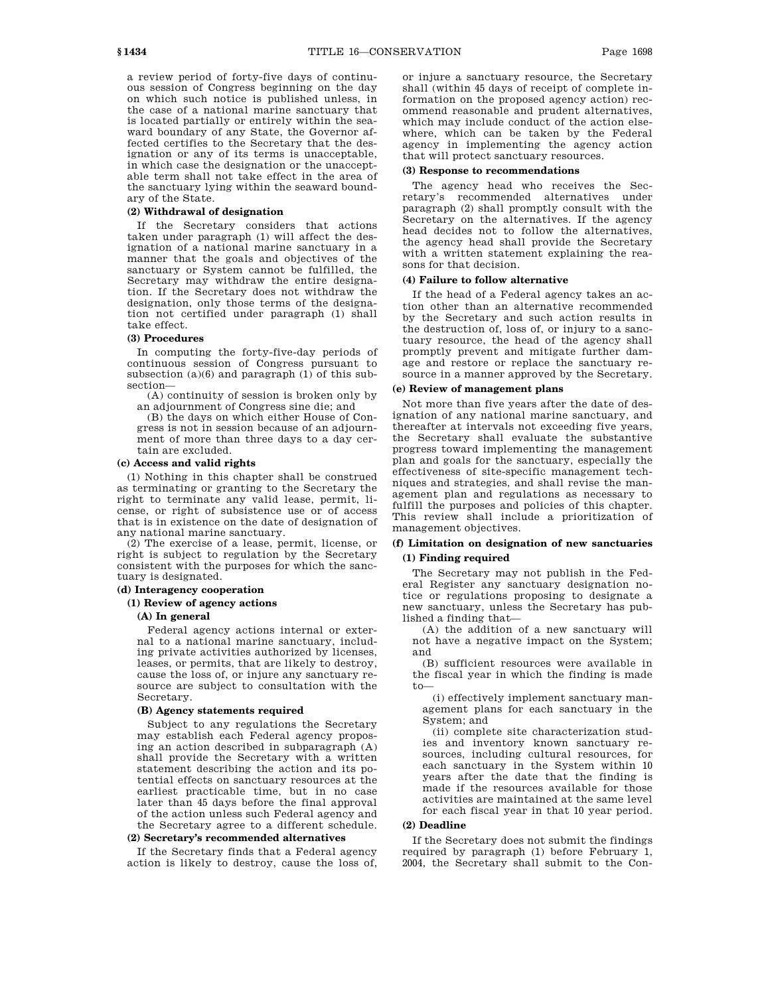a review period of forty-five days of continuous session of Congress beginning on the day on which such notice is published unless, in the case of a national marine sanctuary that is located partially or entirely within the seaward boundary of any State, the Governor affected certifies to the Secretary that the designation or any of its terms is unacceptable, in which case the designation or the unacceptable term shall not take effect in the area of the sanctuary lying within the seaward boundary of the State.

# **(2) Withdrawal of designation**

If the Secretary considers that actions taken under paragraph (1) will affect the designation of a national marine sanctuary in a manner that the goals and objectives of the sanctuary or System cannot be fulfilled, the Secretary may withdraw the entire designation. If the Secretary does not withdraw the designation, only those terms of the designation not certified under paragraph (1) shall take effect.

### **(3) Procedures**

In computing the forty-five-day periods of continuous session of Congress pursuant to subsection (a)(6) and paragraph (1) of this subsection—

(A) continuity of session is broken only by an adjournment of Congress sine die; and

(B) the days on which either House of Congress is not in session because of an adjournment of more than three days to a day certain are excluded.

### **(c) Access and valid rights**

(1) Nothing in this chapter shall be construed as terminating or granting to the Secretary the right to terminate any valid lease, permit, license, or right of subsistence use or of access that is in existence on the date of designation of any national marine sanctuary.

(2) The exercise of a lease, permit, license, or right is subject to regulation by the Secretary consistent with the purposes for which the sanctuary is designated.

# **(d) Interagency cooperation**

### **(1) Review of agency actions**

### **(A) In general**

Federal agency actions internal or external to a national marine sanctuary, including private activities authorized by licenses, leases, or permits, that are likely to destroy, cause the loss of, or injure any sanctuary resource are subject to consultation with the Secretary.

### **(B) Agency statements required**

Subject to any regulations the Secretary may establish each Federal agency proposing an action described in subparagraph (A) shall provide the Secretary with a written statement describing the action and its potential effects on sanctuary resources at the earliest practicable time, but in no case later than 45 days before the final approval of the action unless such Federal agency and the Secretary agree to a different schedule.

# **(2) Secretary's recommended alternatives**

If the Secretary finds that a Federal agency action is likely to destroy, cause the loss of, or injure a sanctuary resource, the Secretary shall (within 45 days of receipt of complete information on the proposed agency action) recommend reasonable and prudent alternatives, which may include conduct of the action elsewhere, which can be taken by the Federal agency in implementing the agency action that will protect sanctuary resources.

### **(3) Response to recommendations**

The agency head who receives the Secretary's recommended alternatives under paragraph (2) shall promptly consult with the Secretary on the alternatives. If the agency head decides not to follow the alternatives, the agency head shall provide the Secretary with a written statement explaining the reasons for that decision.

### **(4) Failure to follow alternative**

If the head of a Federal agency takes an action other than an alternative recommended by the Secretary and such action results in the destruction of, loss of, or injury to a sanctuary resource, the head of the agency shall promptly prevent and mitigate further damage and restore or replace the sanctuary resource in a manner approved by the Secretary.

### **(e) Review of management plans**

Not more than five years after the date of designation of any national marine sanctuary, and thereafter at intervals not exceeding five years, the Secretary shall evaluate the substantive progress toward implementing the management plan and goals for the sanctuary, especially the effectiveness of site-specific management techniques and strategies, and shall revise the management plan and regulations as necessary to fulfill the purposes and policies of this chapter. This review shall include a prioritization of management objectives.

# **(f) Limitation on designation of new sanctuaries (1) Finding required**

The Secretary may not publish in the Federal Register any sanctuary designation notice or regulations proposing to designate a new sanctuary, unless the Secretary has published a finding that—

(A) the addition of a new sanctuary will not have a negative impact on the System; and

(B) sufficient resources were available in the fiscal year in which the finding is made to—

(i) effectively implement sanctuary management plans for each sanctuary in the System; and

(ii) complete site characterization studies and inventory known sanctuary resources, including cultural resources, for each sanctuary in the System within 10 years after the date that the finding is made if the resources available for those activities are maintained at the same level for each fiscal year in that 10 year period.

### **(2) Deadline**

If the Secretary does not submit the findings required by paragraph (1) before February 1, 2004, the Secretary shall submit to the Con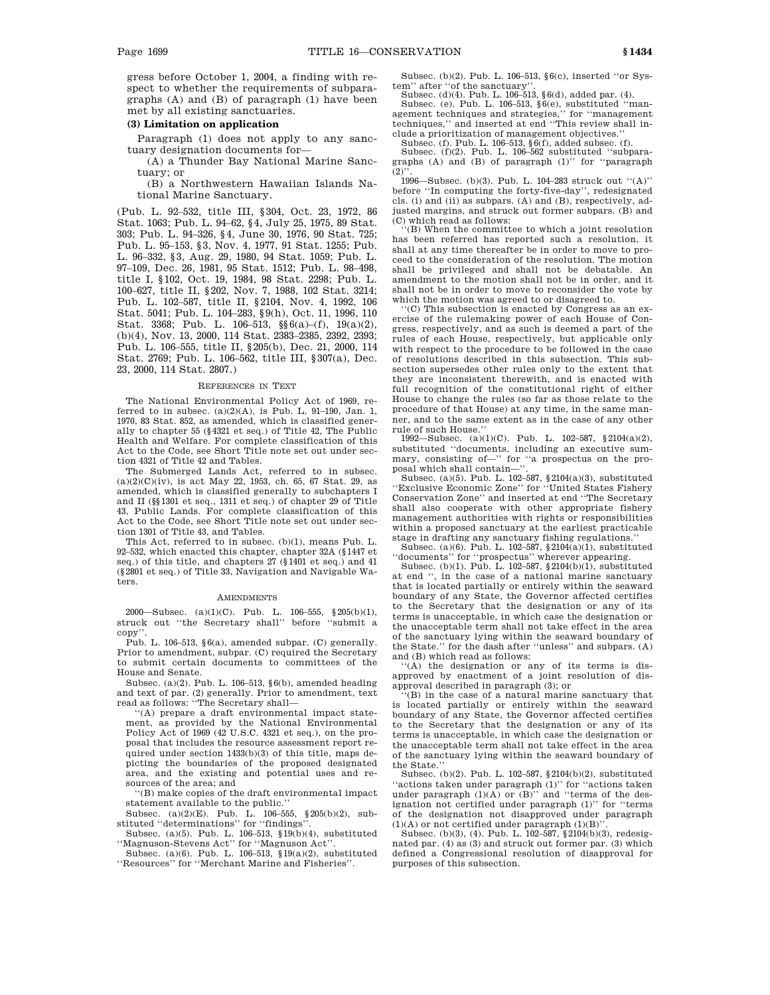gress before October 1, 2004, a finding with respect to whether the requirements of subparagraphs (A) and (B) of paragraph (1) have been met by all existing sanctuaries.

### **(3) Limitation on application**

Paragraph (1) does not apply to any sanctuary designation documents for—

(A) a Thunder Bay National Marine Sanctuary; or

(B) a Northwestern Hawaiian Islands National Marine Sanctuary.

(Pub. L. 92–532, title III, §304, Oct. 23, 1972, 86 Stat. 1063; Pub. L. 94–62, §4, July 25, 1975, 89 Stat. 303; Pub. L. 94–326, §4, June 30, 1976, 90 Stat. 725; Pub. L. 95–153, §3, Nov. 4, 1977, 91 Stat. 1255; Pub. L. 96–332, §3, Aug. 29, 1980, 94 Stat. 1059; Pub. L. 97–109, Dec. 26, 1981, 95 Stat. 1512; Pub. L. 98–498, title I, §102, Oct. 19, 1984, 98 Stat. 2298; Pub. L. 100–627, title II, §202, Nov. 7, 1988, 102 Stat. 3214; Pub. L. 102–587, title II, §2104, Nov. 4, 1992, 106 Stat. 5041; Pub. L. 104–283, §9(h), Oct. 11, 1996, 110 Stat. 3368; Pub. L. 106–513, §§6(a)–(f), 19(a)(2), (b)(4), Nov. 13, 2000, 114 Stat. 2383–2385, 2392, 2393; Pub. L. 106–555, title II, §205(b), Dec. 21, 2000, 114 Stat. 2769; Pub. L. 106–562, title III, §307(a), Dec. 23, 2000, 114 Stat. 2807.)

### REFERENCES IN TEXT

The National Environmental Policy Act of 1969, referred to in subsec.  $(a)(2)(A)$ , is Pub. L. 91-190, Jan. 1, 1970, 83 Stat. 852, as amended, which is classified generally to chapter 55 (§4321 et seq.) of Title 42, The Public Health and Welfare. For complete classification of this Act to the Code, see Short Title note set out under section 4321 of Title 42 and Tables.

The Submerged Lands Act, referred to in subsec.  $(a)(2)(C)(iv)$ , is act May 22, 1953, ch. 65, 67 Stat. 29, as amended, which is classified generally to subchapters I and II (§§1301 et seq., 1311 et seq.) of chapter 29 of Title 43, Public Lands. For complete classification of this Act to the Code, see Short Title note set out under section 1301 of Title 43, and Tables.

This Act, referred to in subsec. (b)(1), means Pub. L. 92–532, which enacted this chapter, chapter 32A (§1447 et seq.) of this title, and chapters 27 (§1401 et seq.) and 41 (§2801 et seq.) of Title 33, Navigation and Navigable Waters.

#### **AMENDMENTS**

2000—Subsec. (a)(1)(C). Pub. L. 106–555, §205(b)(1), struck out ''the Secretary shall'' before ''submit a copy''.

Pub. L. 106–513, §6(a), amended subpar. (C) generally. Prior to amendment, subpar. (C) required the Secretary to submit certain documents to committees of the House and Senate.

Subsec. (a)(2). Pub. L. 106–513, §6(b), amended heading and text of par. (2) generally. Prior to amendment, text read as follows: ''The Secretary shall—

''(A) prepare a draft environmental impact statement, as provided by the National Environmental Policy Act of 1969 (42 U.S.C. 4321 et seq.), on the proposal that includes the resource assessment report required under section 1433(b)(3) of this title, maps depicting the boundaries of the proposed designated area, and the existing and potential uses and resources of the area; and

''(B) make copies of the draft environmental impact statement available to the public.''

Subsec. (a)(2)(E). Pub. L. 106–555, §205(b)(2), substituted ''determinations'' for ''findings''.

Subsec. (a)(5). Pub. L. 106–513, §19(b)(4), substituted

''Magnuson-Stevens Act'' for ''Magnuson Act''. Subsec. (a)(6). Pub. L. 106–513, §19(a)(2), substituted ''Resources'' for ''Merchant Marine and Fisheries''.

Subsec. (b)(2). Pub. L. 106–513, §6(c), inserted ''or Sys-

tem'' after ''of the sanctuary''. Subsec. (d)(4). Pub. L. 106–513, §6(d), added par. (4).

Subsec. (e). Pub. L. 106–513, §6(e), substituted ''man-agement techniques and strategies,'' for ''management techniques,'' and inserted at end ''This review shall include a prioritization of management objectives.''

Subsec. (f). Pub. L.  $106-513$ ,  $§6(f)$ , added subsec. (f).

Subsec. (f)(2). Pub. L. 106–562 substituted ''subparagraphs (A) and (B) of paragraph (1)'' for ''paragraph  $(2)$ 

1996—Subsec. (b)(3). Pub. L. 104–283 struck out ''(A)'' before ''In computing the forty-five-day'', redesignated cls. (i) and (ii) as subpars. (A) and (B), respectively, adjusted margins, and struck out former subpars. (B) and

(C) which read as follows: ''(B) When the committee to which a joint resolution has been referred has reported such a resolution, it shall at any time thereafter be in order to move to proceed to the consideration of the resolution. The motion shall be privileged and shall not be debatable. An amendment to the motion shall not be in order, and it shall not be in order to move to reconsider the vote by

which the motion was agreed to or disagreed to.<br>"(C) This subsection is enacted by Congress as an exercise of the rulemaking power of each House of Congress, respectively, and as such is deemed a part of the rules of each House, respectively, but applicable only with respect to the procedure to be followed in the case of resolutions described in this subsection. This subsection supersedes other rules only to the extent that they are inconsistent therewith, and is enacted with full recognition of the constitutional right of either House to change the rules (so far as those relate to the procedure of that House) at any time, in the same manner, and to the same extent as in the case of any other rule of such House.

1992—Subsec. (a)(1)(C). Pub. L. 102–587, §2104(a)(2), substituted "documents, including an executive summary, consisting of—'' for ''a prospectus on the pro-

posal which shall contain—''. Subsec. (a)(5). Pub. L. 102–587, §2104(a)(3), substituted ''Exclusive Economic Zone'' for ''United States Fishery Conservation Zone'' and inserted at end ''The Secretary shall also cooperate with other appropriate fishery management authorities with rights or responsibilities within a proposed sanctuary at the earliest practicable stage in drafting any sanctuary fishing regulations.

Subsec. (a)(6). Pub. L. 102–587,  $\S 2104(a)(1)$ , substituted

''documents'' for ''prospectus'' wherever appearing. Subsec. (b)(1). Pub. L. 102–587, §2104(b)(1), substituted at end '', in the case of a national marine sanctuary that is located partially or entirely within the seaward boundary of any State, the Governor affected certifies to the Secretary that the designation or any of its terms is unacceptable, in which case the designation or the unacceptable term shall not take effect in the area of the sanctuary lying within the seaward boundary of the State.'' for the dash after ''unless'' and subpars. (A) and (B) which read as follows:

 $((A)$  the designation or any of its terms is disapproved by enactment of a joint resolution of disapproval described in paragraph (3); or

''(B) in the case of a natural marine sanctuary that is located partially or entirely within the seaward boundary of any State, the Governor affected certifies to the Secretary that the designation or any of its terms is unacceptable, in which case the designation or the unacceptable term shall not take effect in the area of the sanctuary lying within the seaward boundary of the State.''

Subsec. (b)(2). Pub. L. 102–587, §2104(b)(2), substituted ''actions taken under paragraph (1)'' for ''actions taken under paragraph  $(1)(A)$  or  $(B)$ " and "terms of the designation not certified under paragraph (1)'' for ''terms of the designation not disapproved under paragraph  $(1)(A)$  or not certified under paragraph  $(1)(B)'$ .

Subsec. (b)(3), (4), Pub. L.  $102-587$ , §2104(b)(3), redesignated par. (4) as (3) and struck out former par. (3) which defined a Congressional resolution of disapproval for purposes of this subsection.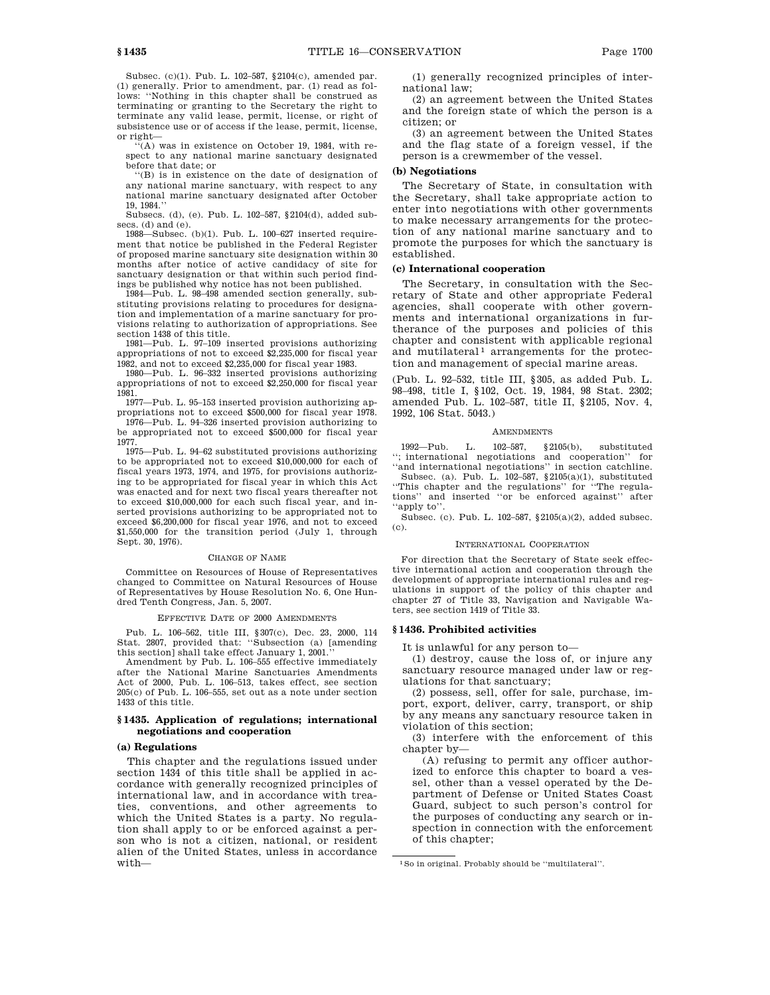Subsec. (c)(1). Pub. L. 102–587, §2104(c), amended par. (1) generally. Prior to amendment, par. (1) read as follows: ''Nothing in this chapter shall be construed as terminating or granting to the Secretary the right to terminate any valid lease, permit, license, or right of subsistence use or of access if the lease, permit, license, or right—

 $(A)$  was in existence on October 19, 1984, with respect to any national marine sanctuary designated before that date; or

''(B) is in existence on the date of designation of any national marine sanctuary, with respect to any national marine sanctuary designated after October 19, 1984.''

Subsecs. (d), (e). Pub. L. 102–587, §2104(d), added subsecs. (d) and (e).

1988—Subsec. (b)(1). Pub. L. 100–627 inserted requirement that notice be published in the Federal Register of proposed marine sanctuary site designation within 30 months after notice of active candidacy of site for sanctuary designation or that within such period findings be published why notice has not been published.

1984—Pub. L. 98–498 amended section generally, substituting provisions relating to procedures for designation and implementation of a marine sanctuary for provisions relating to authorization of appropriations. See section 1438 of this title.

1981—Pub. L. 97–109 inserted provisions authorizing appropriations of not to exceed \$2,235,000 for fiscal year 1982, and not to exceed \$2,235,000 for fiscal year 1983.

1980—Pub. L. 96–332 inserted provisions authorizing appropriations of not to exceed \$2,250,000 for fiscal year 1981.

1977—Pub. L. 95–153 inserted provision authorizing appropriations not to exceed \$500,000 for fiscal year 1978.

1976—Pub. L. 94–326 inserted provision authorizing to be appropriated not to exceed \$500,000 for fiscal year 1977.

1975—Pub. L. 94–62 substituted provisions authorizing to be appropriated not to exceed \$10,000,000 for each of fiscal years 1973, 1974, and 1975, for provisions authorizing to be appropriated for fiscal year in which this Act was enacted and for next two fiscal years thereafter not to exceed \$10,000,000 for each such fiscal year, and inserted provisions authorizing to be appropriated not to exceed \$6,200,000 for fiscal year 1976, and not to exceed \$1,550,000 for the transition period (July 1, through Sept. 30, 1976).

### CHANGE OF NAME

Committee on Resources of House of Representatives changed to Committee on Natural Resources of House of Representatives by House Resolution No. 6, One Hundred Tenth Congress, Jan. 5, 2007.

### EFFECTIVE DATE OF 2000 AMENDMENTS

Pub. L. 106–562, title III, §307(c), Dec. 23, 2000, 114 Stat. 2807, provided that: ''Subsection (a) [amending this section] shall take effect January 1, 2001.''

Amendment by Pub. L. 106–555 effective immediately after the National Marine Sanctuaries Amendments Act of 2000, Pub. L. 106–513, takes effect, see section 205(c) of Pub. L. 106–555, set out as a note under section 1433 of this title.

# **§ 1435. Application of regulations; international negotiations and cooperation**

### **(a) Regulations**

This chapter and the regulations issued under section 1434 of this title shall be applied in accordance with generally recognized principles of international law, and in accordance with treaties, conventions, and other agreements to which the United States is a party. No regulation shall apply to or be enforced against a person who is not a citizen, national, or resident alien of the United States, unless in accordance with—

(1) generally recognized principles of international law;

(2) an agreement between the United States and the foreign state of which the person is a citizen; or

(3) an agreement between the United States and the flag state of a foreign vessel, if the person is a crewmember of the vessel.

### **(b) Negotiations**

The Secretary of State, in consultation with the Secretary, shall take appropriate action to enter into negotiations with other governments to make necessary arrangements for the protection of any national marine sanctuary and to promote the purposes for which the sanctuary is established.

# **(c) International cooperation**

The Secretary, in consultation with the Secretary of State and other appropriate Federal agencies, shall cooperate with other governments and international organizations in furtherance of the purposes and policies of this chapter and consistent with applicable regional and mutilateral<sup>1</sup> arrangements for the protection and management of special marine areas.

(Pub. L. 92–532, title III, §305, as added Pub. L. 98–498, title I, §102, Oct. 19, 1984, 98 Stat. 2302; amended Pub. L. 102–587, title II, §2105, Nov. 4, 1992, 106 Stat. 5043.)

#### **AMENDMENTS**

1992—Pub. L. 102–587, §2105(b), substituted ''; international negotiations and cooperation'' for ''and international negotiations'' in section catchline.

Subsec. (a). Pub. L. 102–587, §2105(a)(1), substituted ''This chapter and the regulations'' for ''The regulations'' and inserted ''or be enforced against'' after 'apply to".

Subsec. (c). Pub. L. 102–587, §2105(a)(2), added subsec. (c).

### INTERNATIONAL COOPERATION

For direction that the Secretary of State seek effective international action and cooperation through the development of appropriate international rules and regulations in support of the policy of this chapter and chapter 27 of Title 33, Navigation and Navigable Waters, see section 1419 of Title 33.

# **§ 1436. Prohibited activities**

It is unlawful for any person to—

(1) destroy, cause the loss of, or injure any sanctuary resource managed under law or regulations for that sanctuary;

(2) possess, sell, offer for sale, purchase, import, export, deliver, carry, transport, or ship by any means any sanctuary resource taken in violation of this section;

(3) interfere with the enforcement of this chapter by—

(A) refusing to permit any officer authorized to enforce this chapter to board a vessel, other than a vessel operated by the Department of Defense or United States Coast Guard, subject to such person's control for the purposes of conducting any search or inspection in connection with the enforcement of this chapter;

<sup>1</sup>So in original. Probably should be ''multilateral''.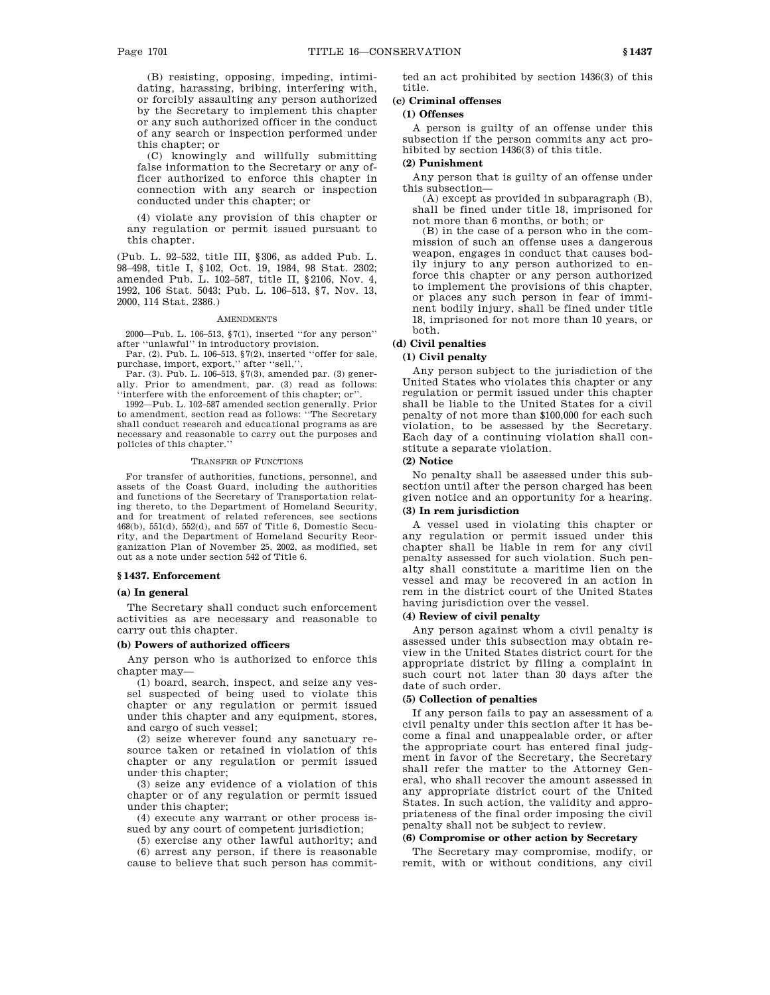(B) resisting, opposing, impeding, intimidating, harassing, bribing, interfering with, or forcibly assaulting any person authorized by the Secretary to implement this chapter or any such authorized officer in the conduct of any search or inspection performed under this chapter; or

(C) knowingly and willfully submitting false information to the Secretary or any officer authorized to enforce this chapter in connection with any search or inspection conducted under this chapter; or

(4) violate any provision of this chapter or any regulation or permit issued pursuant to this chapter.

(Pub. L. 92–532, title III, §306, as added Pub. L. 98–498, title I, §102, Oct. 19, 1984, 98 Stat. 2302; amended Pub. L. 102–587, title II, §2106, Nov. 4, 1992, 106 Stat. 5043; Pub. L. 106–513, §7, Nov. 13, 2000, 114 Stat. 2386.)

### **AMENDMENTS**

2000—Pub. L. 106–513, §7(1), inserted ''for any person'' after ''unlawful'' in introductory provision.

Par. (2). Pub. L. 106–513, §7(2), inserted ''offer for sale, purchase, import, export,'' after ''sell,''.

Par. (3). Pub. L. 106–513, §7(3), amended par. (3) generally. Prior to amendment, par. (3) read as follows: ''interfere with the enforcement of this chapter; or''.

1992—Pub. L. 102–587 amended section generally. Prior to amendment, section read as follows: ''The Secretary shall conduct research and educational programs as are necessary and reasonable to carry out the purposes and policies of this chapter.''

### TRANSFER OF FUNCTIONS

For transfer of authorities, functions, personnel, and assets of the Coast Guard, including the authorities and functions of the Secretary of Transportation relating thereto, to the Department of Homeland Security, and for treatment of related references, see sections 468(b), 551(d), 552(d), and 557 of Title 6, Domestic Security, and the Department of Homeland Security Reorganization Plan of November 25, 2002, as modified, set out as a note under section 542 of Title 6.

### **§ 1437. Enforcement**

# **(a) In general**

The Secretary shall conduct such enforcement activities as are necessary and reasonable to carry out this chapter.

#### **(b) Powers of authorized officers**

Any person who is authorized to enforce this chapter may—

(1) board, search, inspect, and seize any vessel suspected of being used to violate this chapter or any regulation or permit issued under this chapter and any equipment, stores, and cargo of such vessel;

(2) seize wherever found any sanctuary resource taken or retained in violation of this chapter or any regulation or permit issued under this chapter;

(3) seize any evidence of a violation of this chapter or of any regulation or permit issued under this chapter;

(4) execute any warrant or other process issued by any court of competent jurisdiction;

(5) exercise any other lawful authority; and (6) arrest any person, if there is reasonable cause to believe that such person has committed an act prohibited by section 1436(3) of this title.

# **(c) Criminal offenses**

### **(1) Offenses**

A person is guilty of an offense under this subsection if the person commits any act prohibited by section 1436(3) of this title.

# **(2) Punishment**

Any person that is guilty of an offense under this subsection—

(A) except as provided in subparagraph (B), shall be fined under title 18, imprisoned for not more than 6 months, or both; or

(B) in the case of a person who in the commission of such an offense uses a dangerous weapon, engages in conduct that causes bodily injury to any person authorized to enforce this chapter or any person authorized to implement the provisions of this chapter, or places any such person in fear of imminent bodily injury, shall be fined under title 18, imprisoned for not more than 10 years, or both.

# **(d) Civil penalties**

# **(1) Civil penalty**

Any person subject to the jurisdiction of the United States who violates this chapter or any regulation or permit issued under this chapter shall be liable to the United States for a civil penalty of not more than \$100,000 for each such violation, to be assessed by the Secretary. Each day of a continuing violation shall constitute a separate violation.

# **(2) Notice**

No penalty shall be assessed under this subsection until after the person charged has been given notice and an opportunity for a hearing. **(3) In rem jurisdiction**

A vessel used in violating this chapter or any regulation or permit issued under this chapter shall be liable in rem for any civil penalty assessed for such violation. Such penalty shall constitute a maritime lien on the vessel and may be recovered in an action in rem in the district court of the United States having jurisdiction over the vessel.

# **(4) Review of civil penalty**

Any person against whom a civil penalty is assessed under this subsection may obtain review in the United States district court for the appropriate district by filing a complaint in such court not later than 30 days after the date of such order.

# **(5) Collection of penalties**

If any person fails to pay an assessment of a civil penalty under this section after it has become a final and unappealable order, or after the appropriate court has entered final judgment in favor of the Secretary, the Secretary shall refer the matter to the Attorney General, who shall recover the amount assessed in any appropriate district court of the United States. In such action, the validity and appropriateness of the final order imposing the civil penalty shall not be subject to review.

# **(6) Compromise or other action by Secretary**

The Secretary may compromise, modify, or remit, with or without conditions, any civil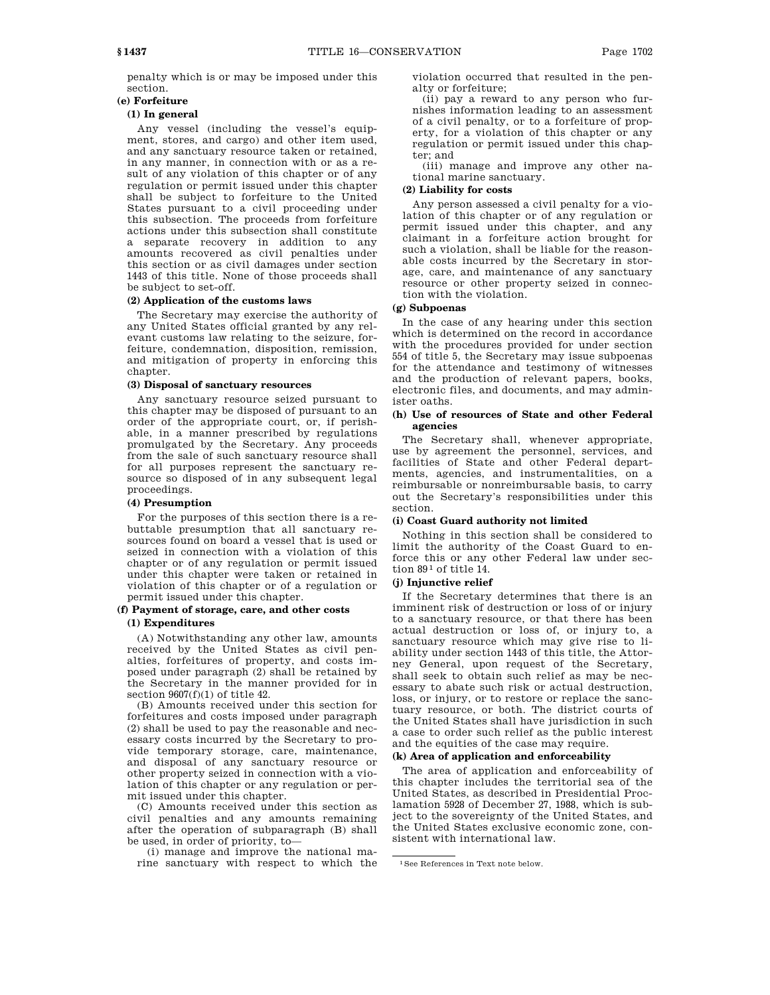penalty which is or may be imposed under this section.

# **(e) Forfeiture**

# **(1) In general**

Any vessel (including the vessel's equipment, stores, and cargo) and other item used, and any sanctuary resource taken or retained, in any manner, in connection with or as a result of any violation of this chapter or of any regulation or permit issued under this chapter shall be subject to forfeiture to the United States pursuant to a civil proceeding under this subsection. The proceeds from forfeiture actions under this subsection shall constitute a separate recovery in addition to any amounts recovered as civil penalties under this section or as civil damages under section 1443 of this title. None of those proceeds shall be subject to set-off.

### **(2) Application of the customs laws**

The Secretary may exercise the authority of any United States official granted by any relevant customs law relating to the seizure, forfeiture, condemnation, disposition, remission, and mitigation of property in enforcing this chapter.

# **(3) Disposal of sanctuary resources**

Any sanctuary resource seized pursuant to this chapter may be disposed of pursuant to an order of the appropriate court, or, if perishable, in a manner prescribed by regulations promulgated by the Secretary. Any proceeds from the sale of such sanctuary resource shall for all purposes represent the sanctuary resource so disposed of in any subsequent legal proceedings.

### **(4) Presumption**

For the purposes of this section there is a rebuttable presumption that all sanctuary resources found on board a vessel that is used or seized in connection with a violation of this chapter or of any regulation or permit issued under this chapter were taken or retained in violation of this chapter or of a regulation or permit issued under this chapter.

# **(f) Payment of storage, care, and other costs**

### **(1) Expenditures**

(A) Notwithstanding any other law, amounts received by the United States as civil penalties, forfeitures of property, and costs imposed under paragraph (2) shall be retained by the Secretary in the manner provided for in section  $9607(f)(1)$  of title 42.

(B) Amounts received under this section for forfeitures and costs imposed under paragraph (2) shall be used to pay the reasonable and necessary costs incurred by the Secretary to provide temporary storage, care, maintenance, and disposal of any sanctuary resource or other property seized in connection with a violation of this chapter or any regulation or permit issued under this chapter.

(C) Amounts received under this section as civil penalties and any amounts remaining after the operation of subparagraph (B) shall be used, in order of priority, to—

(i) manage and improve the national marine sanctuary with respect to which the violation occurred that resulted in the penalty or forfeiture;

(ii) pay a reward to any person who furnishes information leading to an assessment of a civil penalty, or to a forfeiture of property, for a violation of this chapter or any regulation or permit issued under this chapter; and

(iii) manage and improve any other national marine sanctuary.

# **(2) Liability for costs**

Any person assessed a civil penalty for a violation of this chapter or of any regulation or permit issued under this chapter, and any claimant in a forfeiture action brought for such a violation, shall be liable for the reasonable costs incurred by the Secretary in storage, care, and maintenance of any sanctuary resource or other property seized in connection with the violation.

# **(g) Subpoenas**

In the case of any hearing under this section which is determined on the record in accordance with the procedures provided for under section 554 of title 5, the Secretary may issue subpoenas for the attendance and testimony of witnesses and the production of relevant papers, books, electronic files, and documents, and may administer oaths.

# **(h) Use of resources of State and other Federal agencies**

The Secretary shall, whenever appropriate, use by agreement the personnel, services, and facilities of State and other Federal departments, agencies, and instrumentalities, on a reimbursable or nonreimbursable basis, to carry out the Secretary's responsibilities under this section.

### **(i) Coast Guard authority not limited**

Nothing in this section shall be considered to limit the authority of the Coast Guard to enforce this or any other Federal law under section 89<sup>1</sup> of title 14.

### **(j) Injunctive relief**

If the Secretary determines that there is an imminent risk of destruction or loss of or injury to a sanctuary resource, or that there has been actual destruction or loss of, or injury to, a sanctuary resource which may give rise to liability under section 1443 of this title, the Attorney General, upon request of the Secretary, shall seek to obtain such relief as may be necessary to abate such risk or actual destruction, loss, or injury, or to restore or replace the sanctuary resource, or both. The district courts of the United States shall have jurisdiction in such a case to order such relief as the public interest and the equities of the case may require.

### **(k) Area of application and enforceability**

The area of application and enforceability of this chapter includes the territorial sea of the United States, as described in Presidential Proclamation 5928 of December 27, 1988, which is subject to the sovereignty of the United States, and the United States exclusive economic zone, consistent with international law.

<sup>1</sup>See References in Text note below.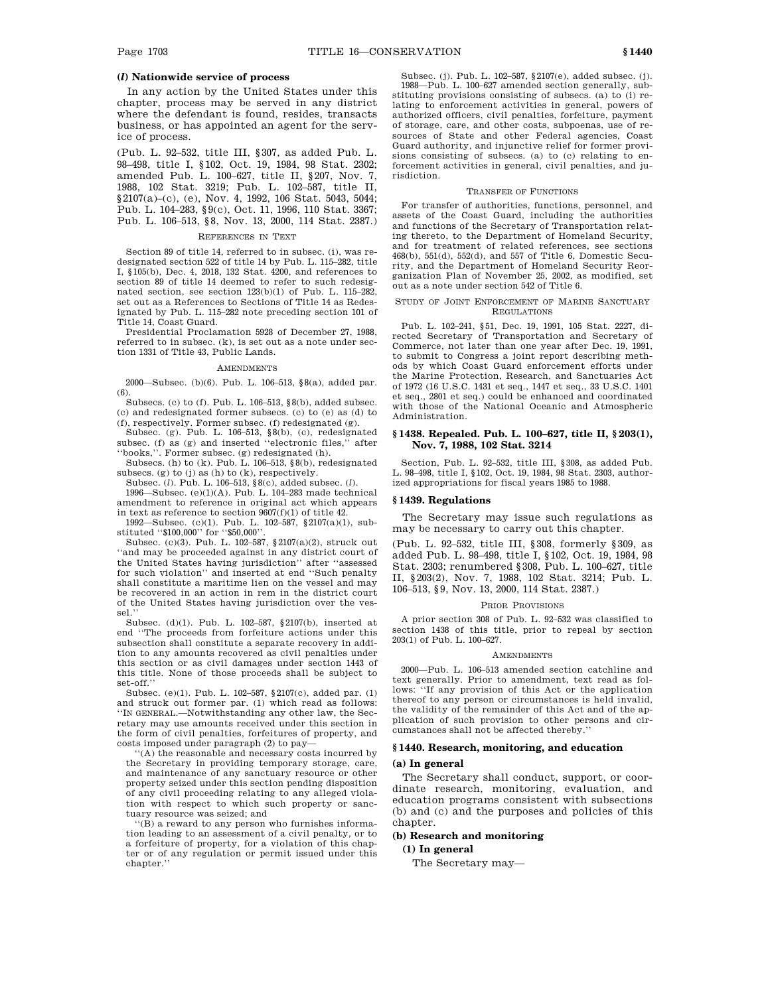# **(***l***) Nationwide service of process**

In any action by the United States under this chapter, process may be served in any district where the defendant is found, resides, transacts business, or has appointed an agent for the service of process.

(Pub. L. 92–532, title III, §307, as added Pub. L. 98–498, title I, §102, Oct. 19, 1984, 98 Stat. 2302; amended Pub. L. 100–627, title II, §207, Nov. 7, 1988, 102 Stat. 3219; Pub. L. 102–587, title II, §2107(a)–(c), (e), Nov. 4, 1992, 106 Stat. 5043, 5044; Pub. L. 104–283, §9(c), Oct. 11, 1996, 110 Stat. 3367; Pub. L. 106–513, §8, Nov. 13, 2000, 114 Stat. 2387.)

### REFERENCES IN TEXT

Section 89 of title 14, referred to in subsec. (i), was redesignated section 522 of title 14 by Pub. L. 115–282, title I, §105(b), Dec. 4, 2018, 132 Stat. 4200, and references to section 89 of title 14 deemed to refer to such redesignated section, see section 123(b)(1) of Pub. L. 115–282, set out as a References to Sections of Title 14 as Redesignated by Pub. L. 115–282 note preceding section 101 of Title 14, Coast Guard.

Presidential Proclamation 5928 of December 27, 1988, referred to in subsec. (k), is set out as a note under section 1331 of Title 43, Public Lands.

#### **AMENDMENTS**

2000—Subsec. (b)(6). Pub. L. 106–513, §8(a), added par. (6).

Subsecs. (c) to (f). Pub. L. 106–513, §8(b), added subsec. (c) and redesignated former subsecs. (c) to (e) as (d) to (f), respectively. Former subsec. (f) redesignated (g).

Subsec. (g). Pub. L. 106–513, §8(b), (c), redesignated subsec. (f) as (g) and inserted ''electronic files,'' after

''books,''. Former subsec. (g) redesignated (h). Subsecs. (h) to (k). Pub. L. 106–513, §8(b), redesignated subsecs. (g) to (j) as (h) to  $(k)$ , respectively.

Subsec. (*l*). Pub. L. 106–513, §8(c), added subsec. (*l*).

1996—Subsec. (e)(1)(A). Pub. L. 104–283 made technical amendment to reference in original act which appears

in text as reference to section 9607(f)(1) of title 42. 1992—Subsec. (c)(1). Pub. L. 102–587, §2107(a)(1), sub-

stituted ''\$100,000'' for ''\$50,000''.

Subsec. (c)(3). Pub. L. 102–587, §2107(a)(2), struck out ''and may be proceeded against in any district court of the United States having jurisdiction'' after ''assessed for such violation'' and inserted at end ''Such penalty shall constitute a maritime lien on the vessel and may be recovered in an action in rem in the district court of the United States having jurisdiction over the vessel.''

Subsec. (d)(1). Pub. L. 102–587, §2107(b), inserted at end ''The proceeds from forfeiture actions under this subsection shall constitute a separate recovery in addition to any amounts recovered as civil penalties under this section or as civil damages under section 1443 of this title. None of those proceeds shall be subject to set-off.''

Subsec. (e)(1). Pub. L. 102–587, §2107(c), added par. (1) and struck out former par. (1) which read as follows: ''IN GENERAL.—Notwithstanding any other law, the Secretary may use amounts received under this section in the form of civil penalties, forfeitures of property, and costs imposed under paragraph (2) to pay—

''(A) the reasonable and necessary costs incurred by the Secretary in providing temporary storage, care, and maintenance of any sanctuary resource or other property seized under this section pending disposition of any civil proceeding relating to any alleged violation with respect to which such property or sanctuary resource was seized; and

''(B) a reward to any person who furnishes information leading to an assessment of a civil penalty, or to a forfeiture of property, for a violation of this chapter or of any regulation or permit issued under this chapter.''

Subsec. (j). Pub. L. 102–587, §2107(e), added subsec. (j). 1988—Pub. L. 100–627 amended section generally, substituting provisions consisting of subsecs. (a) to (i) relating to enforcement activities in general, powers of authorized officers, civil penalties, forfeiture, payment of storage, care, and other costs, subpoenas, use of resources of State and other Federal agencies, Coast Guard authority, and injunctive relief for former provisions consisting of subsecs. (a) to (c) relating to enforcement activities in general, civil penalties, and jurisdiction.

#### TRANSFER OF FUNCTIONS

For transfer of authorities, functions, personnel, and assets of the Coast Guard, including the authorities and functions of the Secretary of Transportation relating thereto, to the Department of Homeland Security, and for treatment of related references, see sections 468(b), 551(d), 552(d), and 557 of Title 6, Domestic Security, and the Department of Homeland Security Reorganization Plan of November 25, 2002, as modified, set out as a note under section 542 of Title 6.

### STUDY OF JOINT ENFORCEMENT OF MARINE SANCTUARY REGULATIONS

Pub. L. 102–241, §51, Dec. 19, 1991, 105 Stat. 2227, directed Secretary of Transportation and Secretary of Commerce, not later than one year after Dec. 19, 1991, to submit to Congress a joint report describing methods by which Coast Guard enforcement efforts under the Marine Protection, Research, and Sanctuaries Act of 1972 (16 U.S.C. 1431 et seq., 1447 et seq., 33 U.S.C. 1401 et seq., 2801 et seq.) could be enhanced and coordinated with those of the National Oceanic and Atmospheric Administration.

# **§ 1438. Repealed. Pub. L. 100–627, title II, § 203(1), Nov. 7, 1988, 102 Stat. 3214**

Section, Pub. L. 92–532, title III, §308, as added Pub. L. 98–498, title I, §102, Oct. 19, 1984, 98 Stat. 2303, authorized appropriations for fiscal years 1985 to 1988.

### **§ 1439. Regulations**

The Secretary may issue such regulations as may be necessary to carry out this chapter.

(Pub. L. 92–532, title III, §308, formerly §309, as added Pub. L. 98–498, title I, §102, Oct. 19, 1984, 98 Stat. 2303; renumbered §308, Pub. L. 100–627, title II, §203(2), Nov. 7, 1988, 102 Stat. 3214; Pub. L. 106–513, §9, Nov. 13, 2000, 114 Stat. 2387.)

#### PRIOR PROVISIONS

A prior section 308 of Pub. L. 92–532 was classified to section 1438 of this title, prior to repeal by section 203(1) of Pub. L. 100–627.

### AMENDMENTS

2000—Pub. L. 106–513 amended section catchline and text generally. Prior to amendment, text read as follows: ''If any provision of this Act or the application thereof to any person or circumstances is held invalid, the validity of the remainder of this Act and of the application of such provision to other persons and circumstances shall not be affected thereby.''

### **§ 1440. Research, monitoring, and education**

#### **(a) In general**

The Secretary shall conduct, support, or coordinate research, monitoring, evaluation, and education programs consistent with subsections (b) and (c) and the purposes and policies of this chapter.

### **(b) Research and monitoring**

**(1) In general**

The Secretary may—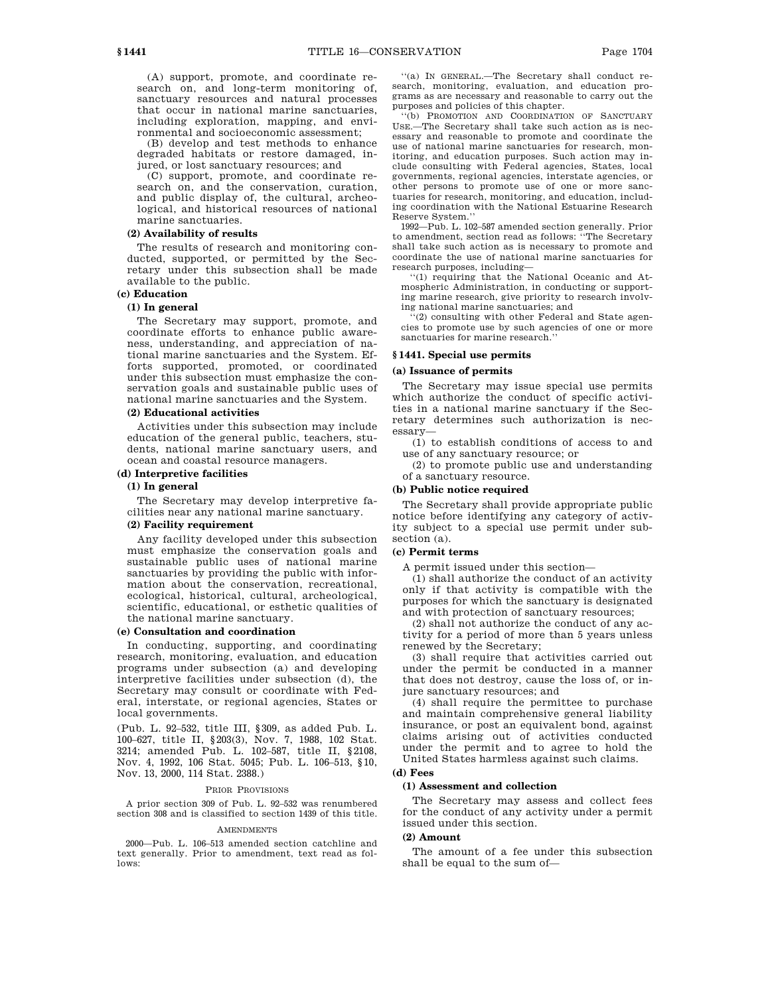(A) support, promote, and coordinate research on, and long-term monitoring of, sanctuary resources and natural processes that occur in national marine sanctuaries, including exploration, mapping, and environmental and socioeconomic assessment;

(B) develop and test methods to enhance degraded habitats or restore damaged, injured, or lost sanctuary resources; and

(C) support, promote, and coordinate research on, and the conservation, curation, and public display of, the cultural, archeological, and historical resources of national marine sanctuaries.

# **(2) Availability of results**

The results of research and monitoring conducted, supported, or permitted by the Secretary under this subsection shall be made available to the public.

# **(c) Education**

### **(1) In general**

The Secretary may support, promote, and coordinate efforts to enhance public awareness, understanding, and appreciation of national marine sanctuaries and the System. Efforts supported, promoted, or coordinated under this subsection must emphasize the conservation goals and sustainable public uses of national marine sanctuaries and the System.

### **(2) Educational activities**

Activities under this subsection may include education of the general public, teachers, students, national marine sanctuary users, and ocean and coastal resource managers.

### **(d) Interpretive facilities**

#### **(1) In general**

The Secretary may develop interpretive facilities near any national marine sanctuary.

### **(2) Facility requirement**

Any facility developed under this subsection must emphasize the conservation goals and sustainable public uses of national marine sanctuaries by providing the public with information about the conservation, recreational, ecological, historical, cultural, archeological, scientific, educational, or esthetic qualities of the national marine sanctuary.

### **(e) Consultation and coordination**

In conducting, supporting, and coordinating research, monitoring, evaluation, and education programs under subsection (a) and developing interpretive facilities under subsection (d), the Secretary may consult or coordinate with Federal, interstate, or regional agencies, States or local governments.

(Pub. L. 92–532, title III, §309, as added Pub. L. 100–627, title II, §203(3), Nov. 7, 1988, 102 Stat. 3214; amended Pub. L. 102–587, title II, §2108, Nov. 4, 1992, 106 Stat. 5045; Pub. L. 106–513, §10, Nov. 13, 2000, 114 Stat. 2388.)

#### PRIOR PROVISIONS

A prior section 309 of Pub. L. 92–532 was renumbered section 308 and is classified to section 1439 of this title.

#### AMENDMENTS

2000—Pub. L. 106–513 amended section catchline and text generally. Prior to amendment, text read as follows:

''(a) IN GENERAL.—The Secretary shall conduct research, monitoring, evaluation, and education programs as are necessary and reasonable to carry out the purposes and policies of this chapter.

''(b) PROMOTION AND COORDINATION OF SANCTUARY USE.—The Secretary shall take such action as is necessary and reasonable to promote and coordinate the use of national marine sanctuaries for research, monitoring, and education purposes. Such action may include consulting with Federal agencies, States, local governments, regional agencies, interstate agencies, or other persons to promote use of one or more sanctuaries for research, monitoring, and education, including coordination with the National Estuarine Research Reserve System.

1992—Pub. L. 102–587 amended section generally. Prior to amendment, section read as follows: ''The Secretary shall take such action as is necessary to promote and coordinate the use of national marine sanctuaries for research purposes, including—

''(1) requiring that the National Oceanic and Atmospheric Administration, in conducting or supporting marine research, give priority to research involving national marine sanctuaries; and

''(2) consulting with other Federal and State agencies to promote use by such agencies of one or more sanctuaries for marine research.''

### **§ 1441. Special use permits**

## **(a) Issuance of permits**

The Secretary may issue special use permits which authorize the conduct of specific activities in a national marine sanctuary if the Secretary determines such authorization is necessary—

(1) to establish conditions of access to and use of any sanctuary resource; or

(2) to promote public use and understanding of a sanctuary resource.

# **(b) Public notice required**

The Secretary shall provide appropriate public notice before identifying any category of activity subject to a special use permit under subsection (a).

### **(c) Permit terms**

A permit issued under this section—

(1) shall authorize the conduct of an activity only if that activity is compatible with the purposes for which the sanctuary is designated and with protection of sanctuary resources;

(2) shall not authorize the conduct of any activity for a period of more than 5 years unless renewed by the Secretary;

(3) shall require that activities carried out under the permit be conducted in a manner that does not destroy, cause the loss of, or injure sanctuary resources; and

(4) shall require the permittee to purchase and maintain comprehensive general liability insurance, or post an equivalent bond, against claims arising out of activities conducted under the permit and to agree to hold the United States harmless against such claims.

# **(d) Fees**

# **(1) Assessment and collection**

The Secretary may assess and collect fees for the conduct of any activity under a permit issued under this section.

### **(2) Amount**

The amount of a fee under this subsection shall be equal to the sum of—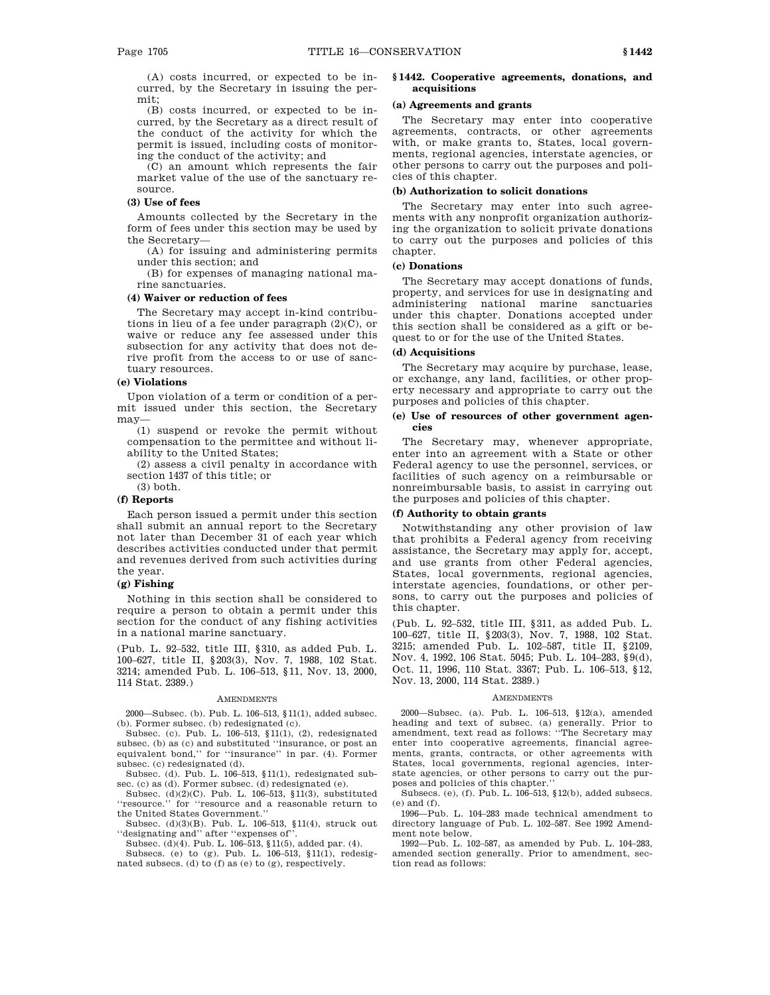(A) costs incurred, or expected to be incurred, by the Secretary in issuing the permit;

(B) costs incurred, or expected to be incurred, by the Secretary as a direct result of the conduct of the activity for which the permit is issued, including costs of monitoring the conduct of the activity; and

(C) an amount which represents the fair market value of the use of the sanctuary resource.

### **(3) Use of fees**

Amounts collected by the Secretary in the form of fees under this section may be used by the Secretary—

(A) for issuing and administering permits under this section; and

(B) for expenses of managing national marine sanctuaries.

### **(4) Waiver or reduction of fees**

The Secretary may accept in-kind contributions in lieu of a fee under paragraph (2)(C), or waive or reduce any fee assessed under this subsection for any activity that does not derive profit from the access to or use of sanctuary resources.

### **(e) Violations**

Upon violation of a term or condition of a permit issued under this section, the Secretary may—

(1) suspend or revoke the permit without compensation to the permittee and without liability to the United States;

(2) assess a civil penalty in accordance with section 1437 of this title; or

(3) both.

### **(f) Reports**

Each person issued a permit under this section shall submit an annual report to the Secretary not later than December 31 of each year which describes activities conducted under that permit and revenues derived from such activities during the year.

# **(g) Fishing**

Nothing in this section shall be considered to require a person to obtain a permit under this section for the conduct of any fishing activities in a national marine sanctuary.

(Pub. L. 92–532, title III, §310, as added Pub. L. 100–627, title II, §203(3), Nov. 7, 1988, 102 Stat. 3214; amended Pub. L. 106–513, §11, Nov. 13, 2000, 114 Stat. 2389.)

### AMENDMENTS

2000—Subsec. (b). Pub. L. 106–513, §11(1), added subsec. (b). Former subsec. (b) redesignated (c).

Subsec. (c). Pub. L. 106–513,  $$11(1)$ , (2), redesignated subsec. (b) as (c) and substituted ''insurance, or post an equivalent bond,'' for ''insurance'' in par. (4). Former subsec. (c) redesignated (d).

Subsec. (d). Pub. L. 106–513, §11(1), redesignated subsec. (c) as (d). Former subsec. (d) redesignated (e).

Subsec. (d)(2)(C). Pub. L. 106–513, §11(3), substituted ''resource.'' for ''resource and a reasonable return to the United States Government.''

Subsec. (d)(3)(B). Pub. L. 106–513, §11(4), struck out ''designating and'' after ''expenses of''.

Subsec. (d)(4). Pub. L. 106–513, §11(5), added par. (4). Subsecs. (e) to (g). Pub. L. 106–513, §11(1), redesignated subsecs. (d) to (f) as (e) to (g), respectively.

# **§ 1442. Cooperative agreements, donations, and acquisitions**

### **(a) Agreements and grants**

The Secretary may enter into cooperative agreements, contracts, or other agreements with, or make grants to, States, local governments, regional agencies, interstate agencies, or other persons to carry out the purposes and policies of this chapter.

# **(b) Authorization to solicit donations**

The Secretary may enter into such agreements with any nonprofit organization authorizing the organization to solicit private donations to carry out the purposes and policies of this chapter.

### **(c) Donations**

The Secretary may accept donations of funds, property, and services for use in designating and administering national marine sanctuaries under this chapter. Donations accepted under this section shall be considered as a gift or bequest to or for the use of the United States.

### **(d) Acquisitions**

The Secretary may acquire by purchase, lease, or exchange, any land, facilities, or other property necessary and appropriate to carry out the purposes and policies of this chapter.

### **(e) Use of resources of other government agencies**

The Secretary may, whenever appropriate, enter into an agreement with a State or other Federal agency to use the personnel, services, or facilities of such agency on a reimbursable or nonreimbursable basis, to assist in carrying out the purposes and policies of this chapter.

### **(f) Authority to obtain grants**

Notwithstanding any other provision of law that prohibits a Federal agency from receiving assistance, the Secretary may apply for, accept, and use grants from other Federal agencies, States, local governments, regional agencies, interstate agencies, foundations, or other persons, to carry out the purposes and policies of this chapter.

(Pub. L. 92–532, title III, §311, as added Pub. L. 100–627, title II, §203(3), Nov. 7, 1988, 102 Stat. 3215; amended Pub. L. 102–587, title II, §2109, Nov. 4, 1992, 106 Stat. 5045; Pub. L. 104–283, §9(d), Oct. 11, 1996, 110 Stat. 3367; Pub. L. 106–513, §12, Nov. 13, 2000, 114 Stat. 2389.)

#### **AMENDMENTS**

2000—Subsec. (a). Pub. L. 106–513, §12(a), amended heading and text of subsec. (a) generally. Prior to amendment, text read as follows: ''The Secretary may enter into cooperative agreements, financial agreements, grants, contracts, or other agreements with States, local governments, regional agencies, interstate agencies, or other persons to carry out the purposes and policies of this chapter.

Subsecs. (e), (f). Pub. L. 106–513, §12(b), added subsecs. (e) and (f).

1996—Pub. L. 104–283 made technical amendment to directory language of Pub. L. 102–587. See 1992 Amendment note below.

1992—Pub. L. 102–587, as amended by Pub. L. 104–283, amended section generally. Prior to amendment, section read as follows: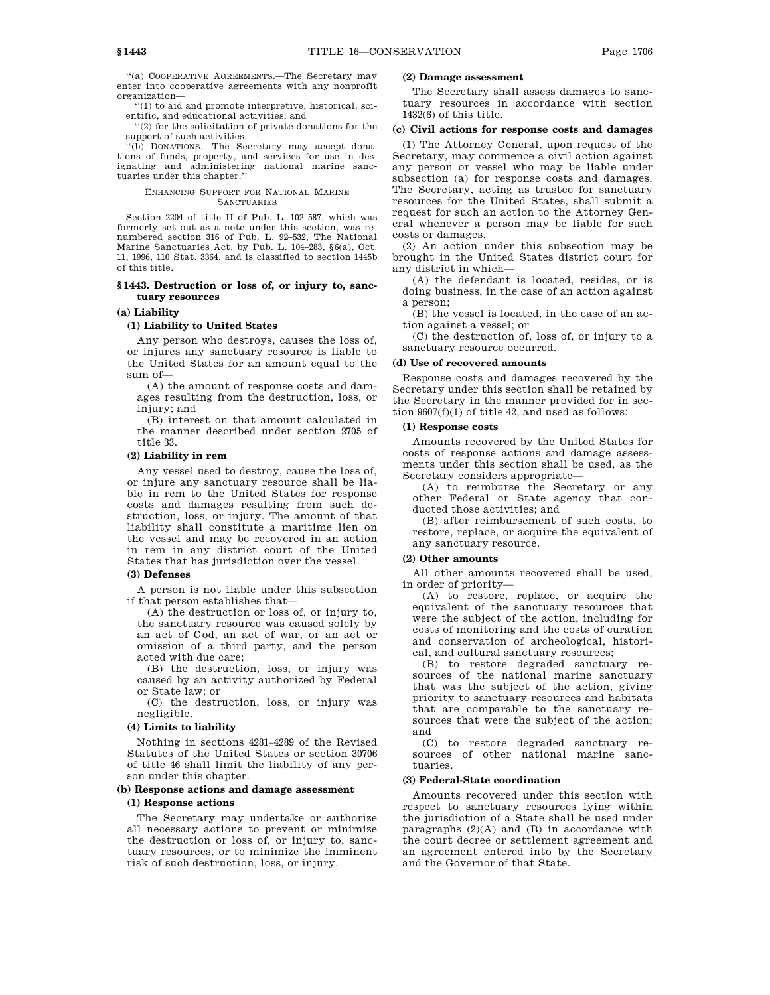''(a) COOPERATIVE AGREEMENTS.—The Secretary may enter into cooperative agreements with any nonprofit organization—

'(1) to aid and promote interpretive, historical, scientific, and educational activities; and

''(2) for the solicitation of private donations for the support of such activities.

'(b) DONATIONS.-The Secretary may accept donations of funds, property, and services for use in designating and administering national marine sanctuaries under this chapter.''

> ENHANCING SUPPORT FOR NATIONAL MARINE **SANCTUARIES**

Section 2204 of title II of Pub. L. 102–587, which was formerly set out as a note under this section, was renumbered section 316 of Pub. L. 92–532, The National Marine Sanctuaries Act, by Pub. L. 104–283, §6(a), Oct. 11, 1996, 110 Stat. 3364, and is classified to section 1445b of this title.

### **§ 1443. Destruction or loss of, or injury to, sanctuary resources**

### **(a) Liability**

# **(1) Liability to United States**

Any person who destroys, causes the loss of, or injures any sanctuary resource is liable to the United States for an amount equal to the sum of—

(A) the amount of response costs and damages resulting from the destruction, loss, or injury; and

(B) interest on that amount calculated in the manner described under section 2705 of title 33.

### **(2) Liability in rem**

Any vessel used to destroy, cause the loss of, or injure any sanctuary resource shall be liable in rem to the United States for response costs and damages resulting from such destruction, loss, or injury. The amount of that liability shall constitute a maritime lien on the vessel and may be recovered in an action in rem in any district court of the United States that has jurisdiction over the vessel.

### **(3) Defenses**

A person is not liable under this subsection if that person establishes that—

(A) the destruction or loss of, or injury to, the sanctuary resource was caused solely by an act of God, an act of war, or an act or omission of a third party, and the person acted with due care;

(B) the destruction, loss, or injury was caused by an activity authorized by Federal or State law; or

(C) the destruction, loss, or injury was negligible.

### **(4) Limits to liability**

Nothing in sections 4281–4289 of the Revised Statutes of the United States or section 30706 of title 46 shall limit the liability of any person under this chapter.

# **(b) Response actions and damage assessment**

# **(1) Response actions**

The Secretary may undertake or authorize all necessary actions to prevent or minimize the destruction or loss of, or injury to, sanctuary resources, or to minimize the imminent risk of such destruction, loss, or injury.

### **(2) Damage assessment**

The Secretary shall assess damages to sanctuary resources in accordance with section  $1432(6)$  of this title.

# **(c) Civil actions for response costs and damages**

(1) The Attorney General, upon request of the Secretary, may commence a civil action against any person or vessel who may be liable under subsection (a) for response costs and damages. The Secretary, acting as trustee for sanctuary resources for the United States, shall submit a request for such an action to the Attorney General whenever a person may be liable for such costs or damages.

(2) An action under this subsection may be brought in the United States district court for any district in which—

(A) the defendant is located, resides, or is doing business, in the case of an action against a person;

(B) the vessel is located, in the case of an action against a vessel; or

(C) the destruction of, loss of, or injury to a sanctuary resource occurred.

#### **(d) Use of recovered amounts**

Response costs and damages recovered by the Secretary under this section shall be retained by the Secretary in the manner provided for in section  $9607(f)(1)$  of title 42, and used as follows:

### **(1) Response costs**

Amounts recovered by the United States for costs of response actions and damage assessments under this section shall be used, as the Secretary considers appropriate—

(A) to reimburse the Secretary or any other Federal or State agency that conducted those activities; and

(B) after reimbursement of such costs, to restore, replace, or acquire the equivalent of any sanctuary resource.

### **(2) Other amounts**

All other amounts recovered shall be used, in order of priority—

(A) to restore, replace, or acquire the equivalent of the sanctuary resources that were the subject of the action, including for costs of monitoring and the costs of curation and conservation of archeological, historical, and cultural sanctuary resources;

(B) to restore degraded sanctuary resources of the national marine sanctuary that was the subject of the action, giving priority to sanctuary resources and habitats that are comparable to the sanctuary resources that were the subject of the action; and

(C) to restore degraded sanctuary resources of other national marine sanctuaries.

### **(3) Federal-State coordination**

Amounts recovered under this section with respect to sanctuary resources lying within the jurisdiction of a State shall be used under paragraphs  $(2)(A)$  and  $(B)$  in accordance with the court decree or settlement agreement and an agreement entered into by the Secretary and the Governor of that State.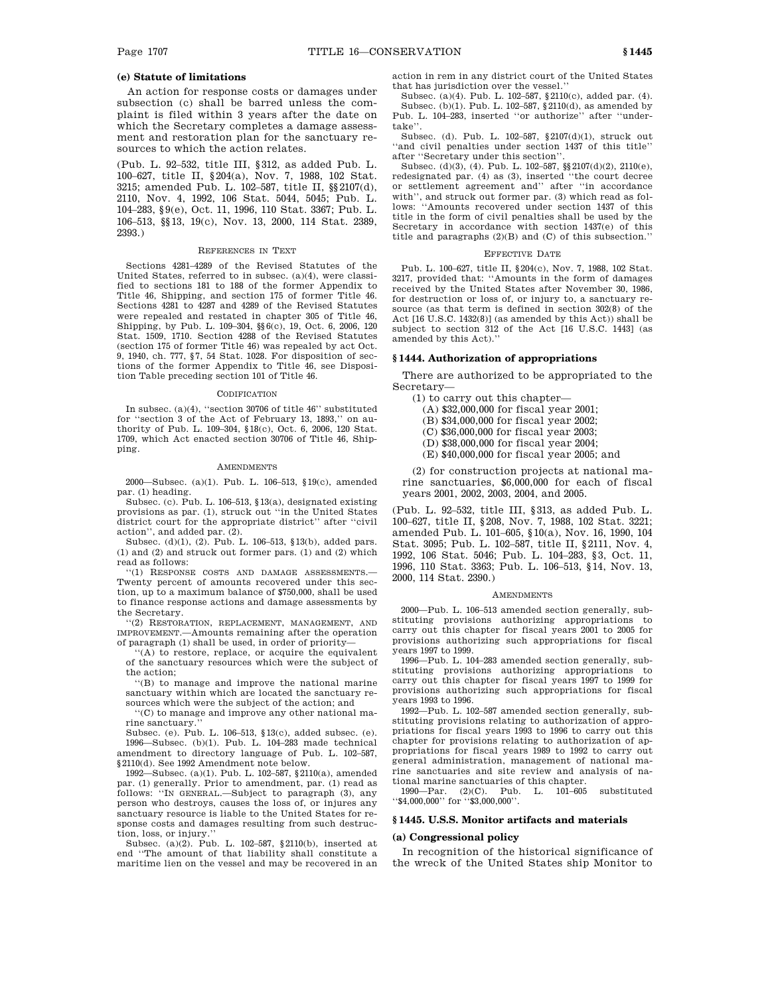# **(e) Statute of limitations**

An action for response costs or damages under subsection (c) shall be barred unless the complaint is filed within 3 years after the date on which the Secretary completes a damage assessment and restoration plan for the sanctuary resources to which the action relates.

(Pub. L. 92–532, title III, §312, as added Pub. L. 100–627, title II, §204(a), Nov. 7, 1988, 102 Stat. 3215; amended Pub. L. 102–587, title II, §§2107(d), 2110, Nov. 4, 1992, 106 Stat. 5044, 5045; Pub. L. 104–283, §9(e), Oct. 11, 1996, 110 Stat. 3367; Pub. L. 106–513, §§13, 19(c), Nov. 13, 2000, 114 Stat. 2389, 2393.)

#### REFERENCES IN TEXT

Sections 4281–4289 of the Revised Statutes of the United States, referred to in subsec. (a)(4), were classified to sections 181 to 188 of the former Appendix to Title 46, Shipping, and section 175 of former Title 46. Sections 4281 to 4287 and 4289 of the Revised Statutes were repealed and restated in chapter 305 of Title 46, Shipping, by Pub. L. 109–304, §§6(c), 19, Oct. 6, 2006, 120 Stat. 1509, 1710. Section 4288 of the Revised Statutes (section 175 of former Title 46) was repealed by act Oct. 9, 1940, ch. 777, §7, 54 Stat. 1028. For disposition of sections of the former Appendix to Title 46, see Disposition Table preceding section 101 of Title 46.

### **CODIFICATION**

In subsec. (a)(4), ''section 30706 of title 46'' substituted for ''section 3 of the Act of February 13, 1893,'' on authority of Pub. L. 109–304, §18(c), Oct. 6, 2006, 120 Stat. 1709, which Act enacted section 30706 of Title 46, Shipping.

#### AMENDMENTS

2000—Subsec. (a)(1). Pub. L. 106–513, §19(c), amended par. (1) heading.

Subsec. (c). Pub. L. 106–513, §13(a), designated existing provisions as par. (1), struck out ''in the United States district court for the appropriate district'' after ''civil action'', and added par. (2).

Subsec. (d)(1), (2). Pub. L. 106–513, §13(b), added pars. (1) and (2) and struck out former pars. (1) and (2) which read as follows:

''(1) RESPONSE COSTS AND DAMAGE ASSESSMENTS.— Twenty percent of amounts recovered under this section, up to a maximum balance of \$750,000, shall be used to finance response actions and damage assessments by the Secretary.

''(2) RESTORATION, REPLACEMENT, MANAGEMENT, AND IMPROVEMENT.—Amounts remaining after the operation of paragraph (1) shall be used, in order of priority—

''(A) to restore, replace, or acquire the equivalent of the sanctuary resources which were the subject of the action;

''(B) to manage and improve the national marine sanctuary within which are located the sanctuary resources which were the subject of the action; and

''(C) to manage and improve any other national marine sanctuary.

Subsec. (e). Pub. L. 106–513, §13(c), added subsec. (e). 1996—Subsec. (b)(1). Pub. L. 104–283 made technical amendment to directory language of Pub. L. 102–587, §2110(d). See 1992 Amendment note below.

1992—Subsec. (a)(1). Pub. L. 102–587, §2110(a), amended par. (1) generally. Prior to amendment, par. (1) read as follows: ''IN GENERAL.—Subject to paragraph (3), any person who destroys, causes the loss of, or injures any sanctuary resource is liable to the United States for response costs and damages resulting from such destruction, loss, or injury.''

Subsec. (a)(2). Pub. L. 102–587, §2110(b), inserted at end ''The amount of that liability shall constitute a maritime lien on the vessel and may be recovered in an action in rem in any district court of the United States that has jurisdiction over the vessel.

Subsec. (a)(4). Pub. L. 102–587, §2110(c), added par. (4). Subsec. (b)(1). Pub. L. 102–587, §2110(d), as amended by Pub. L. 104–283, inserted ''or authorize'' after ''undertake<sup>'</sup>

Subsec. (d). Pub. L. 102–587, §2107(d)(1), struck out ''and civil penalties under section 1437 of this title'' after ''Secretary under this section''.

Subsec. (d)(3), (4). Pub. L. 102–587, §§2107(d)(2), 2110(e), redesignated par. (4) as (3), inserted ''the court decree or settlement agreement and'' after ''in accordance with'', and struck out former par. (3) which read as follows: ''Amounts recovered under section 1437 of this title in the form of civil penalties shall be used by the Secretary in accordance with section 1437(e) of this title and paragraphs (2)(B) and (C) of this subsection.''

#### EFFECTIVE DATE

Pub. L. 100–627, title II, §204(c), Nov. 7, 1988, 102 Stat. 3217, provided that: ''Amounts in the form of damages received by the United States after November 30, 1986, for destruction or loss of, or injury to, a sanctuary resource (as that term is defined in section 302(8) of the Act [16 U.S.C. 1432(8)] (as amended by this Act)) shall be subject to section 312 of the Act [16 U.S.C. 1443] (as amended by this Act).''

### **§ 1444. Authorization of appropriations**

There are authorized to be appropriated to the Secretary—

- (1) to carry out this chapter—
- (A) \$32,000,000 for fiscal year 2001;
- (B) \$34,000,000 for fiscal year 2002;
- (C) \$36,000,000 for fiscal year 2003;
- (D) \$38,000,000 for fiscal year 2004;
- (E) \$40,000,000 for fiscal year 2005; and

(2) for construction projects at national marine sanctuaries, \$6,000,000 for each of fiscal years 2001, 2002, 2003, 2004, and 2005.

(Pub. L. 92–532, title III, §313, as added Pub. L. 100–627, title II, §208, Nov. 7, 1988, 102 Stat. 3221; amended Pub. L. 101–605, §10(a), Nov. 16, 1990, 104 Stat. 3095; Pub. L. 102–587, title II, §2111, Nov. 4, 1992, 106 Stat. 5046; Pub. L. 104–283, §3, Oct. 11, 1996, 110 Stat. 3363; Pub. L. 106–513, §14, Nov. 13, 2000, 114 Stat. 2390.)

#### **AMENDMENTS**

2000—Pub. L. 106–513 amended section generally, substituting provisions authorizing appropriations to carry out this chapter for fiscal years 2001 to 2005 for provisions authorizing such appropriations for fiscal years 1997 to 1999.

1996—Pub. L. 104–283 amended section generally, substituting provisions authorizing appropriations to carry out this chapter for fiscal years 1997 to 1999 for provisions authorizing such appropriations for fiscal years 1993 to 1996.

1992—Pub. L. 102–587 amended section generally, substituting provisions relating to authorization of appropriations for fiscal years 1993 to 1996 to carry out this chapter for provisions relating to authorization of appropriations for fiscal years 1989 to 1992 to carry out general administration, management of national marine sanctuaries and site review and analysis of national marine sanctuaries of this chapter.

1990—Par. (2)(C). Pub. L. 101–605 substituted ''\$4,000,000'' for ''\$3,000,000''.

# **§ 1445. U.S.S. Monitor artifacts and materials**

### **(a) Congressional policy**

In recognition of the historical significance of the wreck of the United States ship Monitor to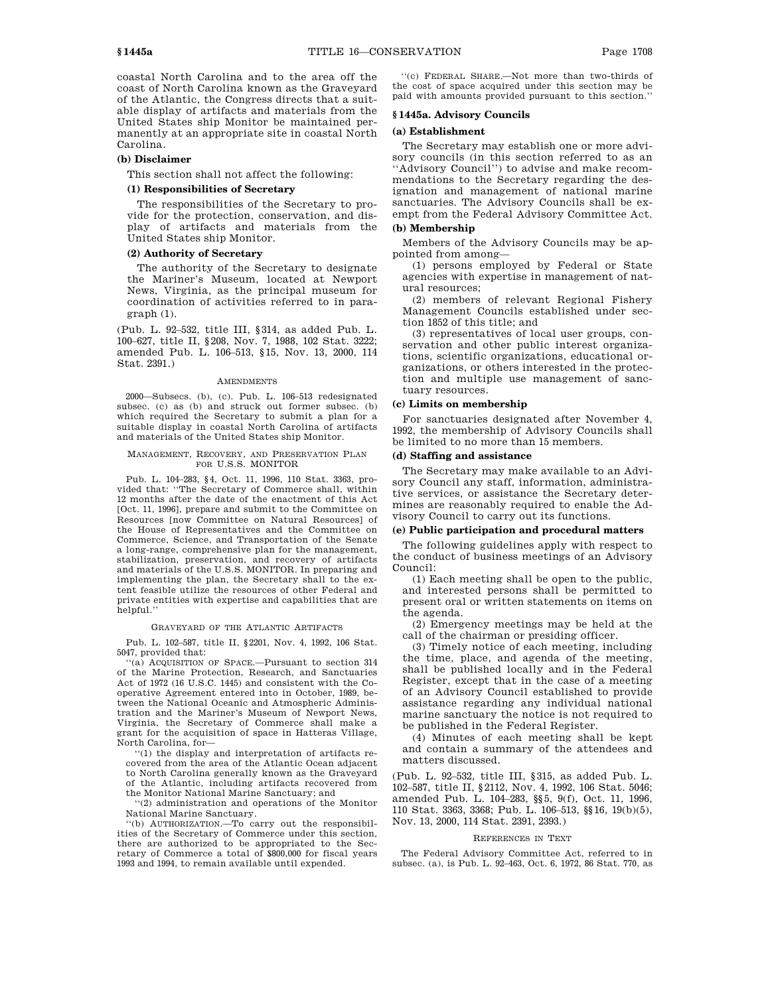coastal North Carolina and to the area off the coast of North Carolina known as the Graveyard of the Atlantic, the Congress directs that a suitable display of artifacts and materials from the United States ship Monitor be maintained permanently at an appropriate site in coastal North Carolina.

### **(b) Disclaimer**

This section shall not affect the following:

### **(1) Responsibilities of Secretary**

The responsibilities of the Secretary to provide for the protection, conservation, and display of artifacts and materials from the United States ship Monitor.

### **(2) Authority of Secretary**

The authority of the Secretary to designate the Mariner's Museum, located at Newport News, Virginia, as the principal museum for coordination of activities referred to in paragraph (1).

(Pub. L. 92–532, title III, §314, as added Pub. L. 100–627, title II, §208, Nov. 7, 1988, 102 Stat. 3222; amended Pub. L. 106–513, §15, Nov. 13, 2000, 114 Stat. 2391.)

### **AMENDMENTS**

2000—Subsecs. (b), (c). Pub. L. 106–513 redesignated subsec. (c) as (b) and struck out former subsec. (b) which required the Secretary to submit a plan for a suitable display in coastal North Carolina of artifacts and materials of the United States ship Monitor.

### MANAGEMENT, RECOVERY, AND PRESERVATION PLAN FOR U.S.S. MONITOR

Pub. L. 104–283, §4, Oct. 11, 1996, 110 Stat. 3363, provided that: ''The Secretary of Commerce shall, within 12 months after the date of the enactment of this Act [Oct. 11, 1996], prepare and submit to the Committee on Resources [now Committee on Natural Resources] of the House of Representatives and the Committee on Commerce, Science, and Transportation of the Senate a long-range, comprehensive plan for the management, stabilization, preservation, and recovery of artifacts and materials of the U.S.S. MONITOR. In preparing and implementing the plan, the Secretary shall to the extent feasible utilize the resources of other Federal and private entities with expertise and capabilities that are helpful.''

### GRAVEYARD OF THE ATLANTIC ARTIFACTS

Pub. L. 102–587, title II, §2201, Nov. 4, 1992, 106 Stat. 5047, provided that:

''(a) ACQUISITION OF SPACE.—Pursuant to section 314 of the Marine Protection, Research, and Sanctuaries Act of 1972 (16 U.S.C. 1445) and consistent with the Cooperative Agreement entered into in October, 1989, between the National Oceanic and Atmospheric Administration and the Mariner's Museum of Newport News, Virginia, the Secretary of Commerce shall make a grant for the acquisition of space in Hatteras Village, North Carolina, for—

''(1) the display and interpretation of artifacts recovered from the area of the Atlantic Ocean adjacent to North Carolina generally known as the Graveyard of the Atlantic, including artifacts recovered from the Monitor National Marine Sanctuary; and

''(2) administration and operations of the Monitor National Marine Sanctuary.

'(b) AUTHORIZATION.—To carry out the responsibilities of the Secretary of Commerce under this section, there are authorized to be appropriated to the Sec-retary of Commerce a total of \$800,000 for fiscal years 1993 and 1994, to remain available until expended.

''(c) FEDERAL SHARE.—Not more than two-thirds of the cost of space acquired under this section may be paid with amounts provided pursuant to this section.''

### **§ 1445a. Advisory Councils**

### **(a) Establishment**

The Secretary may establish one or more advisory councils (in this section referred to as an ''Advisory Council'') to advise and make recommendations to the Secretary regarding the designation and management of national marine sanctuaries. The Advisory Councils shall be exempt from the Federal Advisory Committee Act.

# **(b) Membership**

Members of the Advisory Councils may be appointed from among—

(1) persons employed by Federal or State agencies with expertise in management of natural resources;

(2) members of relevant Regional Fishery Management Councils established under section 1852 of this title; and

(3) representatives of local user groups, conservation and other public interest organizations, scientific organizations, educational organizations, or others interested in the protection and multiple use management of sanctuary resources.

### **(c) Limits on membership**

For sanctuaries designated after November 4, 1992, the membership of Advisory Councils shall be limited to no more than 15 members.

# **(d) Staffing and assistance**

The Secretary may make available to an Advisory Council any staff, information, administrative services, or assistance the Secretary determines are reasonably required to enable the Advisory Council to carry out its functions.

### **(e) Public participation and procedural matters**

The following guidelines apply with respect to the conduct of business meetings of an Advisory Council:

(1) Each meeting shall be open to the public, and interested persons shall be permitted to present oral or written statements on items on the agenda.

(2) Emergency meetings may be held at the call of the chairman or presiding officer.

(3) Timely notice of each meeting, including the time, place, and agenda of the meeting, shall be published locally and in the Federal Register, except that in the case of a meeting of an Advisory Council established to provide assistance regarding any individual national marine sanctuary the notice is not required to be published in the Federal Register.

(4) Minutes of each meeting shall be kept and contain a summary of the attendees and matters discussed.

(Pub. L. 92–532, title III, §315, as added Pub. L. 102–587, title II, §2112, Nov. 4, 1992, 106 Stat. 5046; amended Pub. L. 104–283, §§5, 9(f), Oct. 11, 1996, 110 Stat. 3363, 3368; Pub. L. 106–513, §§16, 19(b)(5), Nov. 13, 2000, 114 Stat. 2391, 2393.)

#### REFERENCES IN TEXT

The Federal Advisory Committee Act, referred to in subsec. (a), is Pub. L. 92–463, Oct. 6, 1972, 86 Stat. 770, as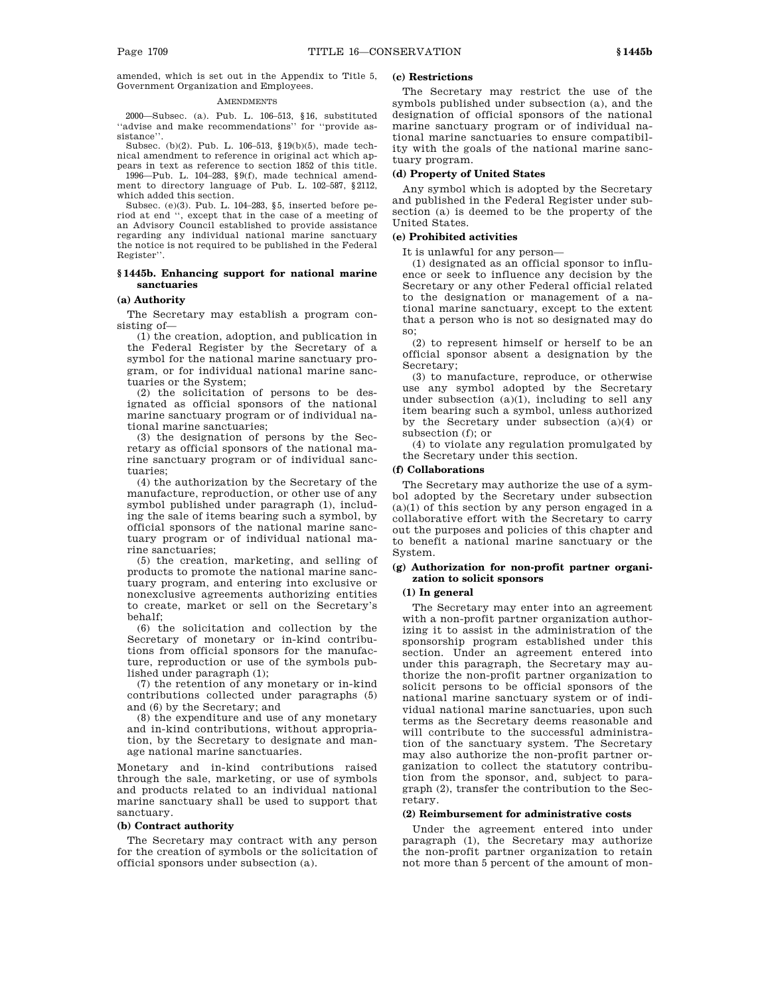amended, which is set out in the Appendix to Title 5, Government Organization and Employees.

### AMENDMENTS

2000—Subsec. (a). Pub. L. 106–513, §16, substituted ''advise and make recommendations'' for ''provide assistance''.

Subsec. (b)(2). Pub. L. 106–513, §19(b)(5), made technical amendment to reference in original act which appears in text as reference to section 1852 of this title. 1996—Pub. L. 104–283, §9(f), made technical amend-

ment to directory language of Pub. L. 102–587, §2112, which added this section.

Subsec. (e)(3). Pub. L. 104–283, §5, inserted before period at end '', except that in the case of a meeting of an Advisory Council established to provide assistance regarding any individual national marine sanctuary the notice is not required to be published in the Federal Register''.

### **§ 1445b. Enhancing support for national marine sanctuaries**

### **(a) Authority**

The Secretary may establish a program consisting of—

(1) the creation, adoption, and publication in the Federal Register by the Secretary of a symbol for the national marine sanctuary program, or for individual national marine sanctuaries or the System;

(2) the solicitation of persons to be designated as official sponsors of the national marine sanctuary program or of individual national marine sanctuaries;

(3) the designation of persons by the Secretary as official sponsors of the national marine sanctuary program or of individual sanctuaries;

(4) the authorization by the Secretary of the manufacture, reproduction, or other use of any symbol published under paragraph (1), including the sale of items bearing such a symbol, by official sponsors of the national marine sanctuary program or of individual national marine sanctuaries;

(5) the creation, marketing, and selling of products to promote the national marine sanctuary program, and entering into exclusive or nonexclusive agreements authorizing entities to create, market or sell on the Secretary's behalf;

(6) the solicitation and collection by the Secretary of monetary or in-kind contributions from official sponsors for the manufacture, reproduction or use of the symbols published under paragraph (1);

(7) the retention of any monetary or in-kind contributions collected under paragraphs (5) and (6) by the Secretary; and

(8) the expenditure and use of any monetary and in-kind contributions, without appropriation, by the Secretary to designate and manage national marine sanctuaries.

Monetary and in-kind contributions raised through the sale, marketing, or use of symbols and products related to an individual national marine sanctuary shall be used to support that sanctuary.

#### **(b) Contract authority**

The Secretary may contract with any person for the creation of symbols or the solicitation of official sponsors under subsection (a).

# **(c) Restrictions**

The Secretary may restrict the use of the symbols published under subsection (a), and the designation of official sponsors of the national marine sanctuary program or of individual national marine sanctuaries to ensure compatibility with the goals of the national marine sanctuary program.

### **(d) Property of United States**

Any symbol which is adopted by the Secretary and published in the Federal Register under subsection (a) is deemed to be the property of the United States.

### **(e) Prohibited activities**

It is unlawful for any person—

(1) designated as an official sponsor to influence or seek to influence any decision by the Secretary or any other Federal official related to the designation or management of a national marine sanctuary, except to the extent that a person who is not so designated may do so;

(2) to represent himself or herself to be an official sponsor absent a designation by the Secretary;

(3) to manufacture, reproduce, or otherwise use any symbol adopted by the Secretary under subsection  $(a)(1)$ , including to sell any item bearing such a symbol, unless authorized by the Secretary under subsection (a)(4) or subsection (f); or

(4) to violate any regulation promulgated by the Secretary under this section.

### **(f) Collaborations**

The Secretary may authorize the use of a symbol adopted by the Secretary under subsection (a)(1) of this section by any person engaged in a collaborative effort with the Secretary to carry out the purposes and policies of this chapter and to benefit a national marine sanctuary or the System.

# **(g) Authorization for non-profit partner organization to solicit sponsors**

# **(1) In general**

The Secretary may enter into an agreement with a non-profit partner organization authorizing it to assist in the administration of the sponsorship program established under this section. Under an agreement entered into under this paragraph, the Secretary may authorize the non-profit partner organization to solicit persons to be official sponsors of the national marine sanctuary system or of individual national marine sanctuaries, upon such terms as the Secretary deems reasonable and will contribute to the successful administration of the sanctuary system. The Secretary may also authorize the non-profit partner organization to collect the statutory contribution from the sponsor, and, subject to paragraph (2), transfer the contribution to the Secretary.

### **(2) Reimbursement for administrative costs**

Under the agreement entered into under paragraph (1), the Secretary may authorize the non-profit partner organization to retain not more than 5 percent of the amount of mon-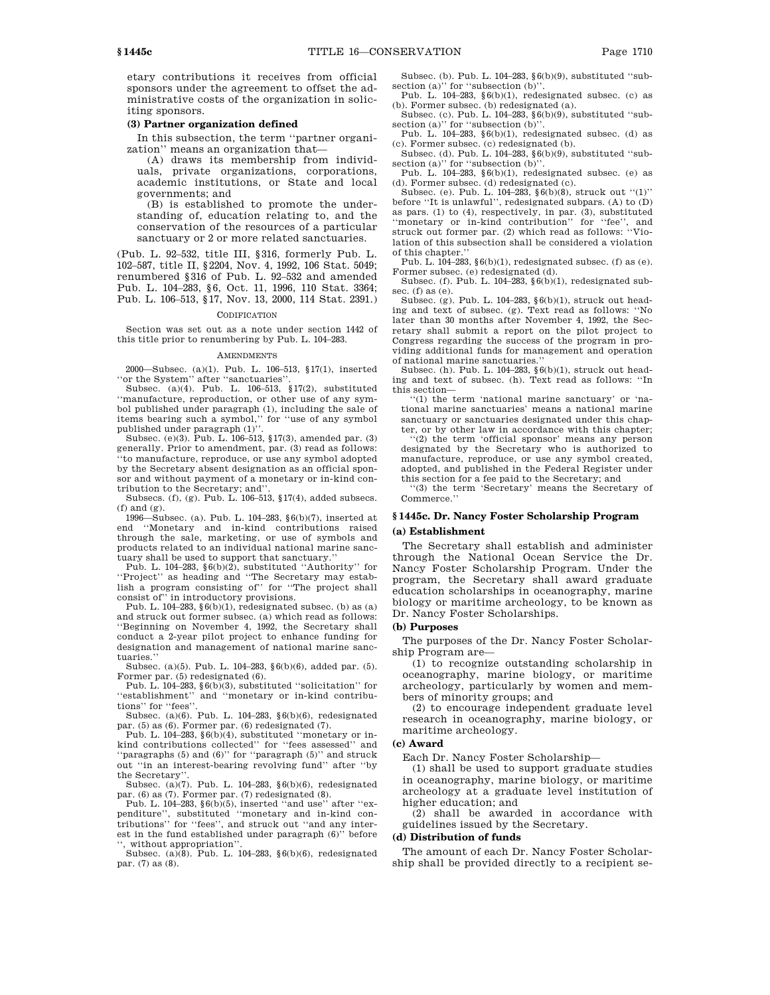etary contributions it receives from official sponsors under the agreement to offset the administrative costs of the organization in soliciting sponsors.

# **(3) Partner organization defined**

In this subsection, the term ''partner organization'' means an organization that—

(A) draws its membership from individuals, private organizations, corporations, academic institutions, or State and local governments; and

(B) is established to promote the understanding of, education relating to, and the conservation of the resources of a particular sanctuary or 2 or more related sanctuaries.

(Pub. L. 92–532, title III, §316, formerly Pub. L. 102–587, title II, §2204, Nov. 4, 1992, 106 Stat. 5049; renumbered §316 of Pub. L. 92–532 and amended Pub. L. 104–283, §6, Oct. 11, 1996, 110 Stat. 3364; Pub. L. 106–513, §17, Nov. 13, 2000, 114 Stat. 2391.)

#### **CODIFICATION**

Section was set out as a note under section 1442 of this title prior to renumbering by Pub. L. 104–283.

#### **AMENDMENTS**

2000—Subsec. (a)(1). Pub. L. 106–513, §17(1), inserted ''or the System'' after ''sanctuaries''. Subsec. (a)(4). Pub. L. 106–513, §17(2), substituted

''manufacture, reproduction, or other use of any symbol published under paragraph (1), including the sale of items bearing such a symbol,'' for ''use of any symbol published under paragraph (1)'.

Subsec. (e)(3). Pub. L. 106–513, §17(3), amended par. (3) generally. Prior to amendment, par. (3) read as follows: ''to manufacture, reproduce, or use any symbol adopted by the Secretary absent designation as an official sponsor and without payment of a monetary or in-kind contribution to the Secretary; and''.

Subsecs. (f), (g). Pub. L. 106–513, §17(4), added subsecs. (f) and (g).

1996—Subsec. (a). Pub. L. 104–283, §6(b)(7), inserted at end ''Monetary and in-kind contributions raised through the sale, marketing, or use of symbols and products related to an individual national marine sanctuary shall be used to support that sanctuary.

Pub. L. 104–283, §6(b)(2), substituted ''Authority'' for ''Project'' as heading and ''The Secretary may establish a program consisting of'' for ''The project shall consist of'' in introductory provisions.

Pub. L.  $104-283$ ,  $\S(6b)(1)$ , redesignated subsec. (b) as (a) and struck out former subsec. (a) which read as follows: ''Beginning on November 4, 1992, the Secretary shall conduct a 2-year pilot project to enhance funding for designation and management of national marine sanctuaries.''

Subsec. (a)(5). Pub. L. 104–283, §6(b)(6), added par. (5). Former par. (5) redesignated (6).

Pub. L. 104–283, §6(b)(3), substituted ''solicitation'' for ''establishment'' and ''monetary or in-kind contributions'' for ''fees''.

Subsec. (a)(6). Pub. L. 104–283, §6(b)(6), redesignated par. (5) as (6). Former par. (6) redesignated (7).

Pub. L. 104–283, §6(b)(4), substituted ''monetary or inkind contributions collected'' for ''fees assessed'' and 'paragraphs (5) and (6)'' for "paragraph (5)" and struck out ''in an interest-bearing revolving fund'' after ''by the Secretary'

Subsec. (a)(7). Pub. L. 104–283, §6(b)(6), redesignated par. (6) as (7). Former par. (7) redesignated (8).

Pub. L. 104–283, §6(b)(5), inserted ''and use'' after ''ex-penditure'', substituted ''monetary and in-kind contributions'' for ''fees'', and struck out ''and any interest in the fund established under paragraph (6)'' before '', without appropriation''.

Subsec. (a)(8). Pub. L.  $104-283$ ,  $§6(b)(6)$ , redesignated par. (7) as (8).

Subsec. (b). Pub. L. 104–283, §6(b)(9), substituted ''subsection (a)" for "subsection (b)".

Pub. L. 104–283, §6(b)(1), redesignated subsec. (c) as (b). Former subsec. (b) redesignated (a). Subsec. (c). Pub. L. 104–283, §6(b)(9), substituted ''sub-

section (a)" for "subsection (b)". Pub. L. 104–283, §6(b)(1), redesignated subsec. (d) as

(c). Former subsec. (c) redesignated (b). Subsec. (d). Pub. L. 104–283, §6(b)(9), substituted ''sub-

section (a)" for "subsection (b)".

Pub. L. 104–283,  $\S6(b)(1)$ , redesignated subsec. (e) as (d). Former subsec. (d) redesignated (c).

Subsec. (e). Pub. L. 104–283,  $\S6(b)(8)$ , struck out "(1)" before ''It is unlawful'', redesignated subpars. (A) to (D) as pars. (1) to (4), respectively, in par. (3), substituted ''monetary or in-kind contribution'' for ''fee'', and struck out former par. (2) which read as follows: ''Violation of this subsection shall be considered a violation of this chapter.

Pub. L. 104–283, §6(b)(1), redesignated subsec. (f) as (e). Former subsec. (e) redesignated (d).

Subsec. (f). Pub. L. 104–283, §6(b)(1), redesignated subsec.  $(f)$  as  $(e)$ .

Subsec. (g). Pub. L. 104–283, §6(b)(1), struck out heading and text of subsec. (g). Text read as follows: ''No later than 30 months after November 4, 1992, the Secretary shall submit a report on the pilot project to Congress regarding the success of the program in providing additional funds for management and operation of national marine sanctuaries.''

Subsec. (h). Pub. L. 104–283, §6(b)(1), struck out heading and text of subsec. (h). Text read as follows: ''In this section—

''(1) the term 'national marine sanctuary' or 'national marine sanctuaries' means a national marine sanctuary or sanctuaries designated under this chapter, or by other law in accordance with this chapter;

''(2) the term 'official sponsor' means any person designated by the Secretary who is authorized to manufacture, reproduce, or use any symbol created, adopted, and published in the Federal Register under this section for a fee paid to the Secretary; and

''(3) the term 'Secretary' means the Secretary of Commerce.''

### **§ 1445c. Dr. Nancy Foster Scholarship Program**

### **(a) Establishment**

The Secretary shall establish and administer through the National Ocean Service the Dr. Nancy Foster Scholarship Program. Under the program, the Secretary shall award graduate education scholarships in oceanography, marine biology or maritime archeology, to be known as Dr. Nancy Foster Scholarships.

### **(b) Purposes**

The purposes of the Dr. Nancy Foster Scholarship Program are—

(1) to recognize outstanding scholarship in oceanography, marine biology, or maritime archeology, particularly by women and members of minority groups; and

(2) to encourage independent graduate level research in oceanography, marine biology, or maritime archeology.

### **(c) Award**

Each Dr. Nancy Foster Scholarship—

(1) shall be used to support graduate studies in oceanography, marine biology, or maritime archeology at a graduate level institution of higher education; and

(2) shall be awarded in accordance with guidelines issued by the Secretary.

### **(d) Distribution of funds**

The amount of each Dr. Nancy Foster Scholarship shall be provided directly to a recipient se